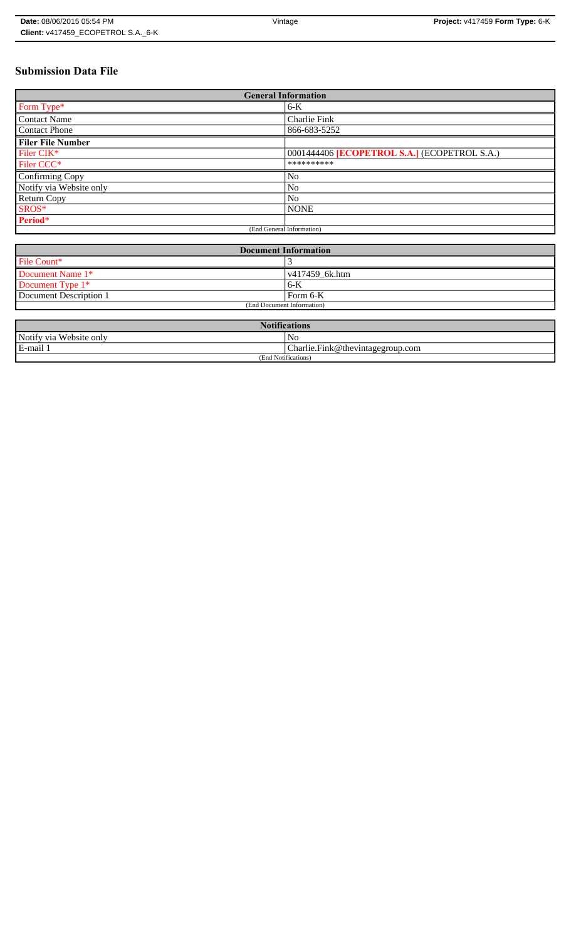# **Submission Data File**

| <b>General Information</b> |                                                   |  |  |  |  |  |
|----------------------------|---------------------------------------------------|--|--|--|--|--|
| Form Type*                 | $6-K$                                             |  |  |  |  |  |
| <b>Contact Name</b>        | Charlie Fink                                      |  |  |  |  |  |
| <b>Contact Phone</b>       | 866-683-5252                                      |  |  |  |  |  |
| <b>Filer File Number</b>   |                                                   |  |  |  |  |  |
| Filer CIK*                 | 0001444406 <b>ECOPETROL S.A.</b> (ECOPETROL S.A.) |  |  |  |  |  |
| Filer CCC <sup>*</sup>     | **********                                        |  |  |  |  |  |
| <b>Confirming Copy</b>     | N <sub>o</sub>                                    |  |  |  |  |  |
| Notify via Website only    | N <sub>o</sub>                                    |  |  |  |  |  |
| <b>Return Copy</b>         | N <sub>o</sub>                                    |  |  |  |  |  |
| SROS*                      | <b>NONE</b>                                       |  |  |  |  |  |
| Period*                    |                                                   |  |  |  |  |  |
|                            | (End General Information)                         |  |  |  |  |  |

| <b>Document Information</b> |                        |  |  |  |
|-----------------------------|------------------------|--|--|--|
| File Count*                 |                        |  |  |  |
| Document Name 1*            | $\sqrt{417459}$ 6k.htm |  |  |  |
| Document Type 1*            | 6-K                    |  |  |  |
| Document Description 1      | l Form 6-K             |  |  |  |
| (End Document Information)  |                        |  |  |  |

| <b>Notifications</b>    |                                  |  |  |  |  |
|-------------------------|----------------------------------|--|--|--|--|
| Notify via Website only | N <sub>0</sub>                   |  |  |  |  |
| E-mail 1                | Charlie.Fink@thevintagegroup.com |  |  |  |  |
| (End Notifications)     |                                  |  |  |  |  |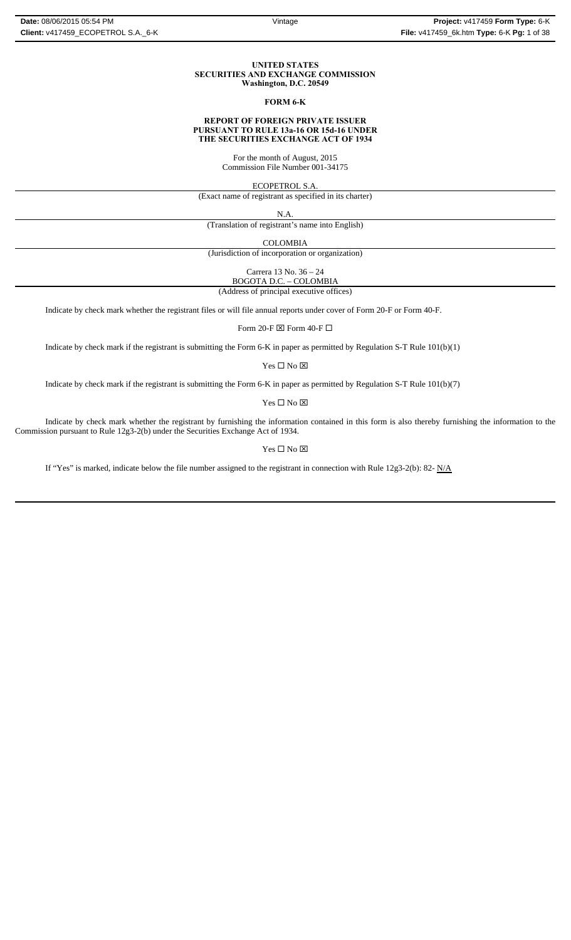#### **UNITED STATES SECURITIES AND EXCHANGE COMMISSION Washington, D.C. 20549**

### **FORM 6-K**

#### **REPORT OF FOREIGN PRIVATE ISSUER PURSUANT TO RULE 13a-16 OR 15d-16 UNDER THE SECURITIES EXCHANGE ACT OF 1934**

For the month of August, 2015 Commission File Number 001-34175

ECOPETROL S.A.

(Exact name of registrant as specified in its charter)

N.A.

(Translation of registrant's name into English)

COLOMBIA

(Jurisdiction of incorporation or organization)

Carrera 13 No. 36 – 24 BOGOTA D.C. – COLOMBIA

(Address of principal executive offices)

Indicate by check mark whether the registrant files or will file annual reports under cover of Form 20-F or Form 40-F.

Form 20-F  $\boxtimes$  Form 40-F  $\Box$ 

Indicate by check mark if the registrant is submitting the Form 6-K in paper as permitted by Regulation S-T Rule 101(b)(1)

Yes $\Box$  No  $\boxtimes$ 

Indicate by check mark if the registrant is submitting the Form 6-K in paper as permitted by Regulation S-T Rule 101(b)(7)

 $\mathbf{Yes} \ \square \ \mathbf{No} \ \boxtimes$ 

Indicate by check mark whether the registrant by furnishing the information contained in this form is also thereby furnishing the information to the Commission pursuant to Rule 12g3-2(b) under the Securities Exchange Act of 1934.

### $Yes \Box No \boxtimes$

If "Yes" is marked, indicate below the file number assigned to the registrant in connection with Rule 12g3-2(b): 82-  $N/A$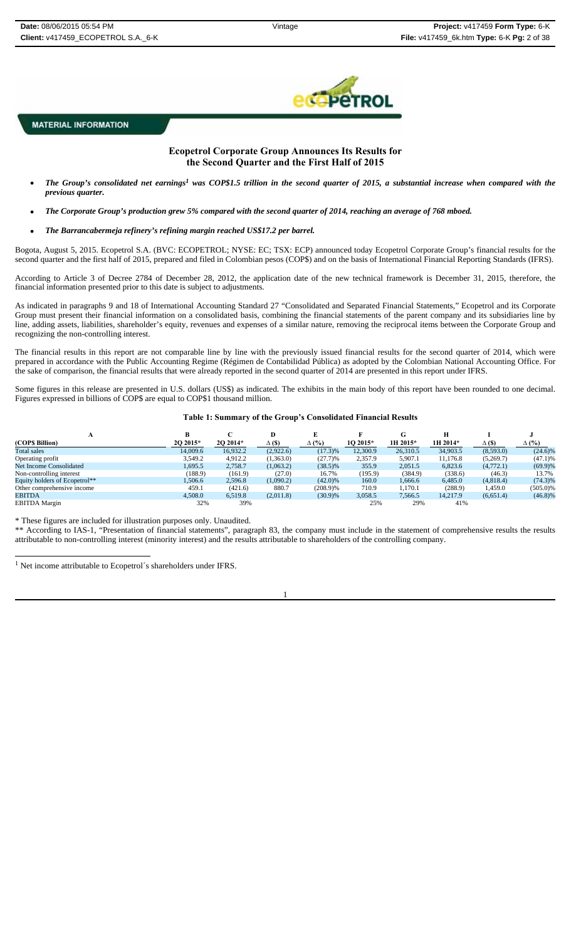

# **Ecopetrol Corporate Group Announces Its Results for the Second Quarter and the First Half of 2015**

- *The Group's consolidated net earnings1 was COP\$1.5 trillion in the second quarter of 2015, a substantial increase when compared with the previous quarter.*
- *The Corporate Group's production grew 5% compared with the second quarter of 2014, reaching an average of 768 mboed.*
- *The Barrancabermeja refinery's refining margin reached US\$17.2 per barrel.*

Bogota, August 5, 2015. Ecopetrol S.A. (BVC: ECOPETROL; NYSE: EC; TSX: ECP) announced today Ecopetrol Corporate Group's financial results for the second quarter and the first half of 2015, prepared and filed in Colombian pesos (COP\$) and on the basis of International Financial Reporting Standards (IFRS).

According to Article 3 of Decree 2784 of December 28, 2012, the application date of the new technical framework is December 31, 2015, therefore, the financial information presented prior to this date is subject to adjustments.

As indicated in paragraphs 9 and 18 of International Accounting Standard 27 "Consolidated and Separated Financial Statements," Ecopetrol and its Corporate Group must present their financial information on a consolidated basis, combining the financial statements of the parent company and its subsidiaries line by line, adding assets, liabilities, shareholder's equity, revenues and expenses of a similar nature, removing the reciprocal items between the Corporate Group and recognizing the non-controlling interest.

The financial results in this report are not comparable line by line with the previously issued financial results for the second quarter of 2014, which were prepared in accordance with the Public Accounting Regime (Régimen de Contabilidad Pública) as adopted by the Colombian National Accounting Office. For the sake of comparison, the financial results that were already reported in the second quarter of 2014 are presented in this report under IFRS.

Some figures in this release are presented in U.S. dollars (US\$) as indicated. The exhibits in the main body of this report have been rounded to one decimal. Figures expressed in billions of COP\$ are equal to COP\$1 thousand million.

**Table 1: Summary of the Group's Consolidated Financial Results** 

| л                             |          |          |              |              |          |          |          |               |              |
|-------------------------------|----------|----------|--------------|--------------|----------|----------|----------|---------------|--------------|
| (COPS Billion)                | 2O 2015* | 2O 2014* | $\Delta$ (S) | $\Delta$ (%) | 1O 2015* | 1H 2015* | 1H 2014* | $\Delta$ (\$) | $\Delta$ (%) |
| Total sales                   | 14,009.6 | 16,932.2 | (2,922.6)    | (17.3)%      | 12.300.9 | 26,310.5 | 34,903.5 | (8,593.0)     | $(24.6)\%$   |
| Operating profit              | 3.549.2  | 4.912.2  | (1,363.0)    | (27.7)%      | 2.357.9  | 5.907.1  | 11.176.8 | (5,269.7)     | (47.1)%      |
| Net Income Consolidated       | 1,695.5  | 2,758.7  | (1,063.2)    | $(38.5)\%$   | 355.9    | 2,051.5  | 6,823.6  | (4,772.1)     | $(69.9)\%$   |
| Non-controlling interest      | (188.9)  | (161.9)  | (27.0)       | 16.7%        | (195.9)  | (384.9)  | (338.6)  | (46.3)        | 13.7%        |
| Equity holders of Ecopetrol** | .506.6   | 2.596.8  | (1,090.2)    | $(42.0)\%$   | 160.0    | 1.666.6  | 6.485.0  | (4,818.4)     | $(74.3)\%$   |
| Other comprehensive income    | 459.1    | (421.6)  | 880.7        | $(208.9)\%$  | 710.9    | 1.170.1  | (288.9)  | 1,459.0       | $(505.0)\%$  |
| <b>EBITDA</b>                 | 4,508.0  | 6.519.8  | (2,011.8)    | $(30.9)\%$   | 3,058.5  | 7,566.5  | 14.217.9 | (6,651.4)     | $(46.8)\%$   |
| <b>EBITDA</b> Margin          | 32%      | 39%      |              |              | 25%      | 29%      | 41%      |               |              |

\* These figures are included for illustration purposes only. Unaudited.

\*\* According to IAS-1, "Presentation of financial statements", paragraph 83, the company must include in the statement of comprehensive results the results attributable to non-controlling interest (minority interest) and the results attributable to shareholders of the controlling company.

 $^{\rm 1}$  Net income attributable to Ecopetrol´s shareholders under IFRS.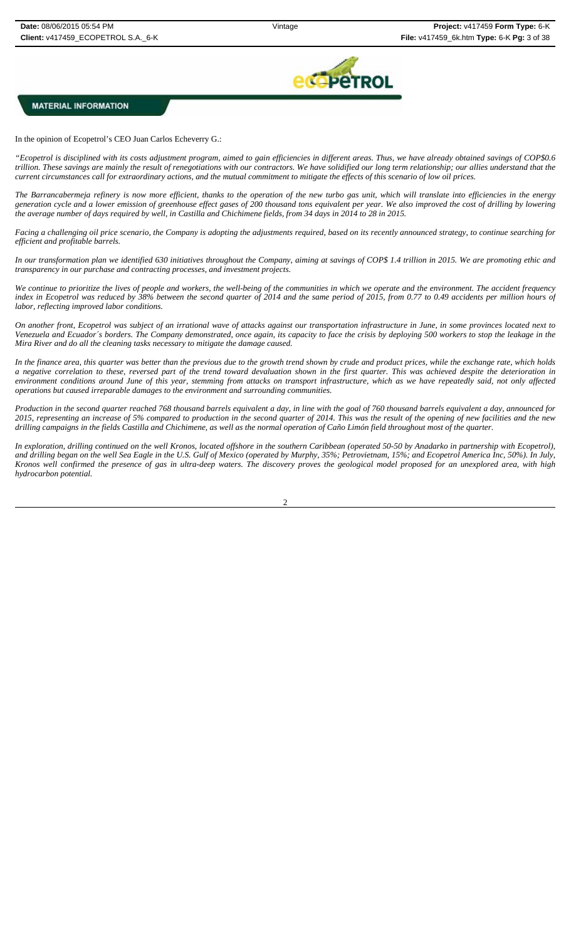

In the opinion of Ecopetrol's CEO Juan Carlos Echeverry G.:

*"Ecopetrol is disciplined with its costs adjustment program, aimed to gain efficiencies in different areas. Thus, we have already obtained savings of COP\$0.6 trillion. These savings are mainly the result of renegotiations with our contractors. We have solidified our long term relationship; our allies understand that the current circumstances call for extraordinary actions, and the mutual commitment to mitigate the effects of this scenario of low oil prices.*

*The Barrancabermeja refinery is now more efficient, thanks to the operation of the new turbo gas unit, which will translate into efficiencies in the energy generation cycle and a lower emission of greenhouse effect gases of 200 thousand tons equivalent per year. We also improved the cost of drilling by lowering the average number of days required by well, in Castilla and Chichimene fields, from 34 days in 2014 to 28 in 2015.*

*Facing a challenging oil price scenario, the Company is adopting the adjustments required, based on its recently announced strategy, to continue searching for efficient and profitable barrels.*

*In our transformation plan we identified 630 initiatives throughout the Company, aiming at savings of COP\$ 1.4 trillion in 2015. We are promoting ethic and transparency in our purchase and contracting processes, and investment projects.* 

*We continue to prioritize the lives of people and workers, the well-being of the communities in which we operate and the environment. The accident frequency index in Ecopetrol was reduced by 38% between the second quarter of 2014 and the same period of 2015, from 0.77 to 0.49 accidents per million hours of labor, reflecting improved labor conditions.*

*On another front, Ecopetrol was subject of an irrational wave of attacks against our transportation infrastructure in June, in some provinces located next to Venezuela and Ecuador´s borders. The Company demonstrated, once again, its capacity to face the crisis by deploying 500 workers to stop the leakage in the Mira River and do all the cleaning tasks necessary to mitigate the damage caused.* 

*In the finance area, this quarter was better than the previous due to the growth trend shown by crude and product prices, while the exchange rate, which holds a negative correlation to these, reversed part of the trend toward devaluation shown in the first quarter. This was achieved despite the deterioration in environment conditions around June of this year, stemming from attacks on transport infrastructure, which as we have repeatedly said, not only affected operations but caused irreparable damages to the environment and surrounding communities.* 

*Production in the second quarter reached 768 thousand barrels equivalent a day, in line with the goal of 760 thousand barrels equivalent a day, announced for 2015, representing an increase of 5% compared to production in the second quarter of 2014. This was the result of the opening of new facilities and the new drilling campaigns in the fields Castilla and Chichimene, as well as the normal operation of Caño Limón field throughout most of the quarter.* 

*In exploration, drilling continued on the well Kronos, located offshore in the southern Caribbean (operated 50-50 by Anadarko in partnership with Ecopetrol), and drilling began on the well Sea Eagle in the U.S. Gulf of Mexico (operated by Murphy, 35%; Petrovietnam, 15%; and Ecopetrol America Inc, 50%). In July, Kronos well confirmed the presence of gas in ultra-deep waters. The discovery proves the geological model proposed for an unexplored area, with high hydrocarbon potential.*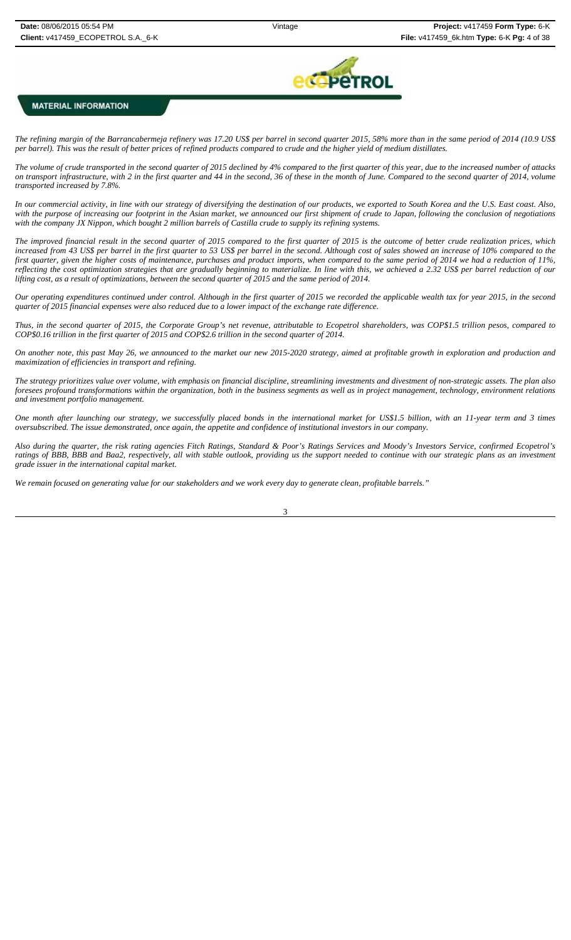

*The refining margin of the Barrancabermeja refinery was 17.20 US\$ per barrel in second quarter 2015, 58% more than in the same period of 2014 (10.9 US\$ per barrel). This was the result of better prices of refined products compared to crude and the higher yield of medium distillates.* 

*The volume of crude transported in the second quarter of 2015 declined by 4% compared to the first quarter of this year, due to the increased number of attacks on transport infrastructure, with 2 in the first quarter and 44 in the second, 36 of these in the month of June. Compared to the second quarter of 2014, volume transported increased by 7.8%.* 

*In our commercial activity, in line with our strategy of diversifying the destination of our products, we exported to South Korea and the U.S. East coast. Also, with the purpose of increasing our footprint in the Asian market, we announced our first shipment of crude to Japan, following the conclusion of negotiations with the company JX Nippon, which bought 2 million barrels of Castilla crude to supply its refining systems.* 

*The improved financial result in the second quarter of 2015 compared to the first quarter of 2015 is the outcome of better crude realization prices, which increased from 43 US\$ per barrel in the first quarter to 53 US\$ per barrel in the second. Although cost of sales showed an increase of 10% compared to the first quarter, given the higher costs of maintenance, purchases and product imports, when compared to the same period of 2014 we had a reduction of 11%, reflecting the cost optimization strategies that are gradually beginning to materialize. In line with this, we achieved a 2.32 US\$ per barrel reduction of our lifting cost, as a result of optimizations, between the second quarter of 2015 and the same period of 2014.* 

*Our operating expenditures continued under control. Although in the first quarter of 2015 we recorded the applicable wealth tax for year 2015, in the second quarter of 2015 financial expenses were also reduced due to a lower impact of the exchange rate difference.*

*Thus, in the second quarter of 2015, the Corporate Group's net revenue, attributable to Ecopetrol shareholders, was COP\$1.5 trillion pesos, compared to COP\$0.16 trillion in the first quarter of 2015 and COP\$2.6 trillion in the second quarter of 2014.* 

*On another note, this past May 26, we announced to the market our new 2015-2020 strategy, aimed at profitable growth in exploration and production and maximization of efficiencies in transport and refining.* 

*The strategy prioritizes value over volume, with emphasis on financial discipline, streamlining investments and divestment of non-strategic assets. The plan also foresees profound transformations within the organization, both in the business segments as well as in project management, technology, environment relations and investment portfolio management.* 

*One month after launching our strategy, we successfully placed bonds in the international market for US\$1.5 billion, with an 11-year term and 3 times oversubscribed. The issue demonstrated, once again, the appetite and confidence of institutional investors in our company.* 

*Also during the quarter, the risk rating agencies Fitch Ratings, Standard & Poor's Ratings Services and Moody's Investors Service, confirmed Ecopetrol's ratings of BBB, BBB and Baa2, respectively, all with stable outlook, providing us the support needed to continue with our strategic plans as an investment grade issuer in the international capital market.* 

*We remain focused on generating value for our stakeholders and we work every day to generate clean, profitable barrels."*

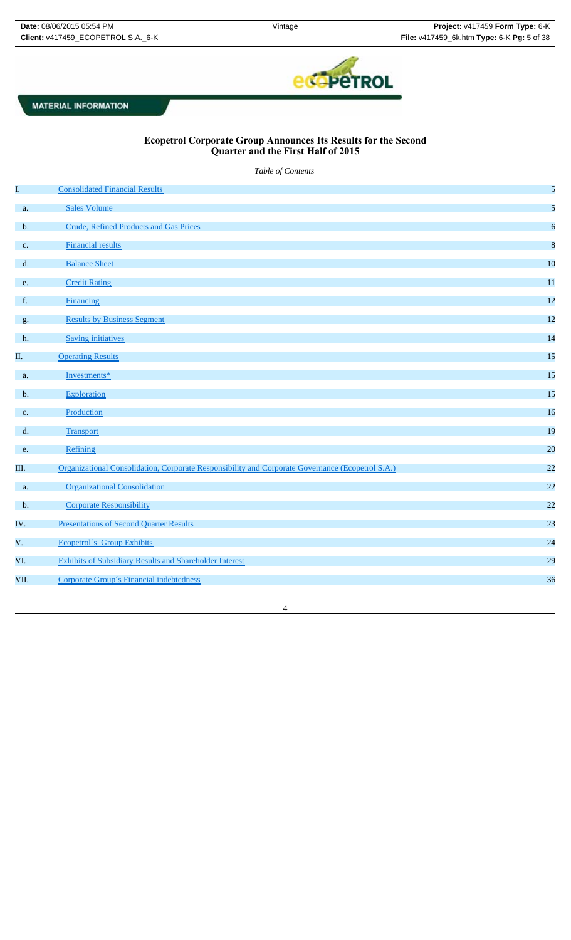

4

# **Ecopetrol Corporate Group Announces Its Results for the Second Quarter and the First Half of 2015**

*Table of Contents*

| I.            | <b>Consolidated Financial Results</b>                                                            | 5                |
|---------------|--------------------------------------------------------------------------------------------------|------------------|
| a.            | <b>Sales Volume</b>                                                                              | 5                |
| $\mathbf b$ . | Crude, Refined Products and Gas Prices                                                           | 6                |
| c.            | <b>Financial results</b>                                                                         | $\boldsymbol{8}$ |
| d.            | <b>Balance Sheet</b>                                                                             | 10               |
| e.            | <b>Credit Rating</b>                                                                             | 11               |
| f.            | <b>Financing</b>                                                                                 | 12               |
| g.            | <b>Results by Business Segment</b>                                                               | 12               |
| h.            | <b>Saving initiatives</b>                                                                        | 14               |
| П.            | <b>Operating Results</b>                                                                         | 15               |
| a.            | Investments*                                                                                     | 15               |
| b.            | Exploration                                                                                      | 15               |
| c.            | Production                                                                                       | 16               |
| d.            | Transport                                                                                        | 19               |
| e.            | Refining                                                                                         | 20               |
| Ш.            | Organizational Consolidation, Corporate Responsibility and Corporate Governance (Ecopetrol S.A.) | 22               |
| a.            | <b>Organizational Consolidation</b>                                                              | 22               |
| b.            | <b>Corporate Responsibility</b>                                                                  | 22               |
| IV.           | <b>Presentations of Second Quarter Results</b>                                                   | 23               |
| $V_{\star}$   | <b>Ecopetrol's Group Exhibits</b>                                                                | 24               |
| VI.           | <b>Exhibits of Subsidiary Results and Shareholder Interest</b>                                   | 29               |
| VII.          | Corporate Group's Financial indebtedness                                                         | 36               |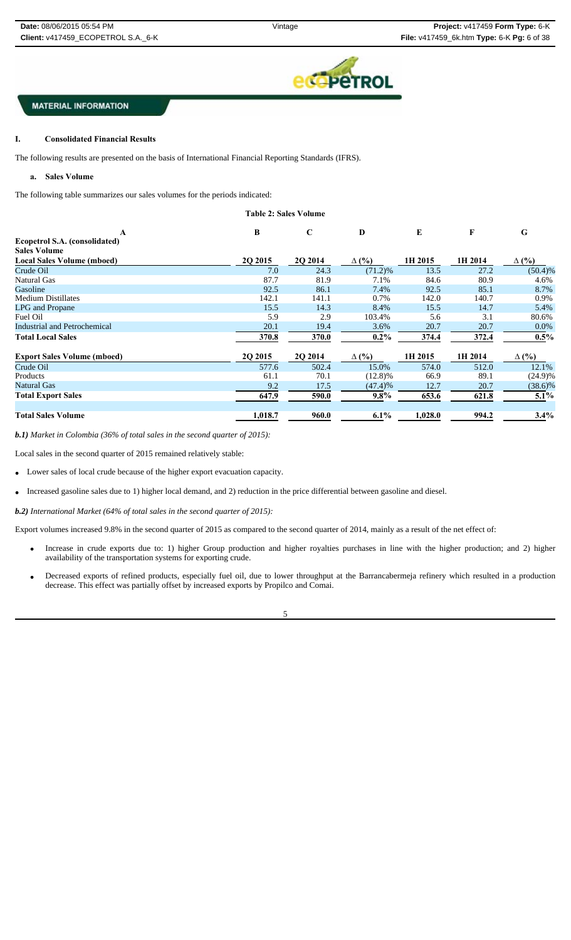

#### I. **I. Consolidated Financial Results**

The following results are presented on the basis of International Financial Reporting Standards (IFRS).

**a. Sales Volume**

The following table summarizes our sales volumes for the periods indicated:

|                                    | <b>Table 2: Sales Volume</b> |             |              |           |         |              |
|------------------------------------|------------------------------|-------------|--------------|-----------|---------|--------------|
| $\mathbf{A}$                       | B                            | $\mathbf C$ | D            | ${\bf E}$ | F       | G            |
| Ecopetrol S.A. (consolidated)      |                              |             |              |           |         |              |
| <b>Sales Volume</b>                |                              |             |              |           |         |              |
| <b>Local Sales Volume (mboed)</b>  | 2Q 2015                      | 2Q 2014     | $\Delta$ (%) | 1H 2015   | 1H 2014 | $\Delta$ (%) |
| Crude Oil                          | 7.0                          | 24.3        | $(71.2)\%$   | 13.5      | 27.2    | $(50.4)\%$   |
| Natural Gas                        | 87.7                         | 81.9        | 7.1%         | 84.6      | 80.9    | 4.6%         |
| Gasoline                           | 92.5                         | 86.1        | 7.4%         | 92.5      | 85.1    | 8.7%         |
| <b>Medium Distillates</b>          | 142.1                        | 141.1       | 0.7%         | 142.0     | 140.7   | 0.9%         |
| <b>LPG</b> and Propane             | 15.5                         | 14.3        | 8.4%         | 15.5      | 14.7    | 5.4%         |
| Fuel Oil                           | 5.9                          | 2.9         | 103.4%       | 5.6       | 3.1     | 80.6%        |
| Industrial and Petrochemical       | 20.1                         | 19.4        | $3.6\%$      | 20.7      | 20.7    | $0.0\%$      |
| <b>Total Local Sales</b>           | 370.8                        | 370.0       | $0.2\%$      | 374.4     | 372.4   | $0.5\%$      |
| <b>Export Sales Volume (mboed)</b> | 20 20 15                     | 2Q 2014     | $\Delta$ (%) | 1H 2015   | 1H 2014 | $\Delta$ (%) |
| Crude Oil                          | 577.6                        | 502.4       | 15.0%        | 574.0     | 512.0   | 12.1%        |
| Products                           | 61.1                         | 70.1        | $(12.8)\%$   | 66.9      | 89.1    | $(24.9)\%$   |
| <b>Natural Gas</b>                 | 9.2                          | 17.5        | (47.4)%      | 12.7      | 20.7    | $(38.6)\%$   |
| <b>Total Export Sales</b>          | 647.9                        | 590.0       | $9.8\%$      | 653.6     | 621.8   | $5.1\%$      |
| <b>Total Sales Volume</b>          | 1,018.7                      | 960.0       | $6.1\%$      | 1,028.0   | 994.2   | 3.4%         |

*b.1) Market in Colombia (36% of total sales in the second quarter of 2015):* 

Local sales in the second quarter of 2015 remained relatively stable:

- Lower sales of local crude because of the higher export evacuation capacity.
- Increased gasoline sales due to 1) higher local demand, and 2) reduction in the price differential between gasoline and diesel.

*b.2) International Market (64% of total sales in the second quarter of 2015):*

Export volumes increased 9.8% in the second quarter of 2015 as compared to the second quarter of 2014, mainly as a result of the net effect of:

- Increase in crude exports due to: 1) higher Group production and higher royalties purchases in line with the higher production; and 2) higher availability of the transportation systems for exporting crude.
- Decreased exports of refined products, especially fuel oil, due to lower throughput at the Barrancabermeja refinery which resulted in a production decrease. This effect was partially offset by increased exports by Propilco and Comai.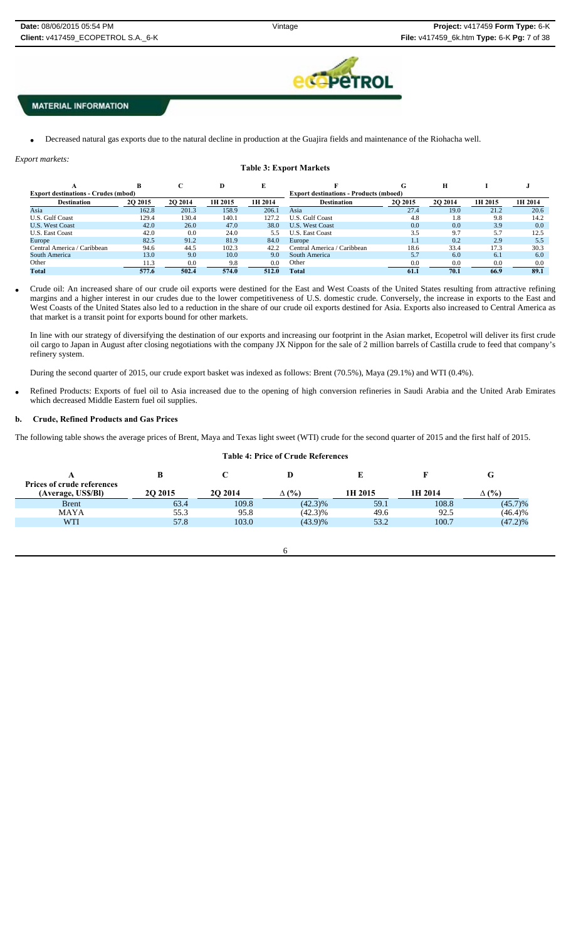

Decreased natural gas exports due to the natural decline in production at the Guajira fields and maintenance of the Riohacha well.

| Export markets:                            |                |         |                                               |         |                                |         |                |         |         |
|--------------------------------------------|----------------|---------|-----------------------------------------------|---------|--------------------------------|---------|----------------|---------|---------|
|                                            |                |         |                                               |         | <b>Table 3: Export Markets</b> |         |                |         |         |
|                                            | B              | C       | D                                             | E       |                                | G       | Н              |         |         |
| <b>Export destinations - Crudes (mbod)</b> |                |         | <b>Export destinations - Products (mboed)</b> |         |                                |         |                |         |         |
| <b>Destination</b>                         | <b>20 2015</b> | 2O 2014 | 1H 2015                                       | 1H 2014 | <b>Destination</b>             | 2Q 2015 | <b>2O 2014</b> | 1H 2015 | 1H 2014 |
| Asia                                       | 162.8          | 201.3   | 158.9                                         | 206.1   | Asia                           | 27.4    | 19.0           | 21.2    | 20.6    |
| U.S. Gulf Coast                            | 129.4          | 130.4   | 140.1                                         | 127.2   | U.S. Gulf Coast                | 4.8     | 1.8            | 9.8     | 14.2    |
| <b>U.S. West Coast</b>                     | 42.0           | 26.0    | 47.0                                          | 38.0    | <b>U.S. West Coast</b>         | 0.0     | 0.0            | 3.9     | 0.0     |
| <b>U.S. East Coast</b>                     | 42.0           | 0.0     | 24.0                                          | 5.5     | <b>U.S. East Coast</b>         | 3.5     | 9.7            | 5.7     | 12.5    |
| Europe                                     | 82.5           | 91.2    | 81.9                                          | 84.0    | Europe                         | $1.1\,$ | 0.2            | 2.9     | 5.5     |
| Central America / Caribbean                | 94.6           | 44.5    | 102.3                                         | 42.2    | Central America / Caribbean    | 18.6    | 33.4           | 17.3    | 30.3    |
| South America                              | 13.0           | 9.0     | 10.0                                          | 9.0     | South America                  | 5.7     | 6.0            | 6.1     | 6.0     |
| Other                                      | 11.3           | 0.0     | 9.8                                           | 0.0     | Other                          | 0.0     | 0.0            | 0.0     | 0.0     |
| Total                                      | 577.6          | 502.4   | 574.0                                         | 512.0   | Total                          | 61.1    | 70.1           | 66.9    | 89.1    |

 Crude oil: An increased share of our crude oil exports were destined for the East and West Coasts of the United States resulting from attractive refining margins and a higher interest in our crudes due to the lower competitiveness of U.S. domestic crude. Conversely, the increase in exports to the East and West Coasts of the United States also led to a reduction in the share of our crude oil exports destined for Asia. Exports also increased to Central America as that market is a transit point for exports bound for other markets.

In line with our strategy of diversifying the destination of our exports and increasing our footprint in the Asian market, Ecopetrol will deliver its first crude oil cargo to Japan in August after closing negotiations with the company JX Nippon for the sale of 2 million barrels of Castilla crude to feed that company's refinery system.

During the second quarter of 2015, our crude export basket was indexed as follows: Brent (70.5%), Maya (29.1%) and WTI (0.4%).

 Refined Products: Exports of fuel oil to Asia increased due to the opening of high conversion refineries in Saudi Arabia and the United Arab Emirates which decreased Middle Eastern fuel oil supplies.

**Table 4: Price of Crude References**

### **b. Crude, Refined Products and Gas Prices**

 $\sim$  6

The following table shows the average prices of Brent, Maya and Texas light sweet (WTI) crude for the second quarter of 2015 and the first half of 2015.

|                                                         | В              |         |              |         |         |              |
|---------------------------------------------------------|----------------|---------|--------------|---------|---------|--------------|
| <b>Prices of crude references</b><br>(Average, US\$/BI) | <b>20 2015</b> | 2O 2014 | $\Delta$ (%) | 1H 2015 | 1H 2014 | $\Delta$ (%) |
| <b>B</b> rent                                           | 63.4           | 109.8   | $(42.3)\%$   | 59.1    | 108.8   | $(45.7)\%$   |
| <b>MAYA</b>                                             | 55.3           | 95.8    | $(42.3)\%$   | 49.6    | 92.5    | (46.4)%      |
| WTI                                                     | 57.8           | 103.0   | $(43.9)\%$   | 53.2    | 100.7   | $(47.2)\%$   |
|                                                         |                |         |              |         |         |              |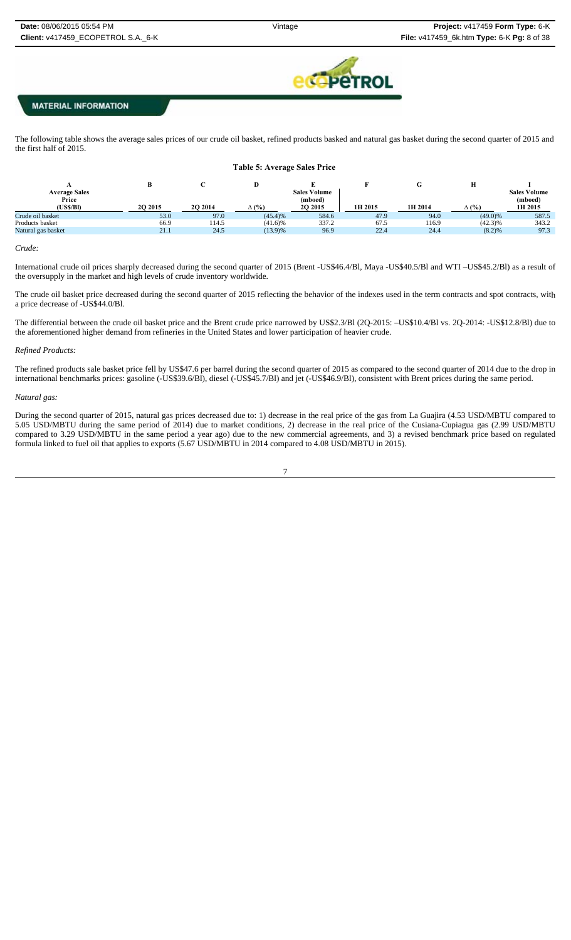

The following table shows the average sales prices of our crude oil basket, refined products basked and natural gas basket during the second quarter of 2015 and the first half of 2015.

| <b>Table 5: Average Sales Price</b> |                 |          |              |                     |         |                 |              |                     |
|-------------------------------------|-----------------|----------|--------------|---------------------|---------|-----------------|--------------|---------------------|
|                                     | В               |          | D            |                     |         | $\sqrt{ }$<br>v | Н            |                     |
| <b>Average Sales</b>                |                 |          |              | <b>Sales Volume</b> |         |                 |              | <b>Sales Volume</b> |
| Price                               |                 |          |              | (mboed)             |         |                 |              | (mboed)             |
| (USS/BI)                            | <b>20 20 15</b> | 20 20 14 | $\Delta$ (%) | 20 20 15            | 1H 2015 | 1H 2014         | $\Delta$ (%) | 1H 2015             |
| Crude oil basket                    | 53.0            | 97.0     | (45.4)%      | 584.6               | 47.9    | 94.0            | $(49.0)\%$   | 587.5               |
| Products basket                     | 66.9            | 114.5    | $(41.6)\%$   | 337.2               | 67.5    | 116.9           | $(42.3)\%$   | 343.2               |
| Natural gas basket                  | 21.1            | 24.5     | $(13.9)\%$   | 96.9                | 22.4    | 24.4            | (8.2)%       | 97.3                |
|                                     |                 |          |              |                     |         |                 |              |                     |

#### *Crude:*

International crude oil prices sharply decreased during the second quarter of 2015 (Brent -US\$46.4/Bl, Maya -US\$40.5/Bl and WTI –US\$45.2/Bl) as a result of the oversupply in the market and high levels of crude inventory worldwide.

The crude oil basket price decreased during the second quarter of 2015 reflecting the behavior of the indexes used in the term contracts and spot contracts, with a price decrease of -US\$44.0/Bl.

The differential between the crude oil basket price and the Brent crude price narrowed by US\$2.3/Bl (2Q-2015: –US\$10.4/Bl vs. 2Q-2014: -US\$12.8/Bl) due to the aforementioned higher demand from refineries in the United States and lower participation of heavier crude.

### *Refined Products:*

The refined products sale basket price fell by US\$47.6 per barrel during the second quarter of 2015 as compared to the second quarter of 2014 due to the drop in international benchmarks prices: gasoline (-US\$39.6/Bl), diesel (-US\$45.7/Bl) and jet (-US\$46.9/Bl), consistent with Brent prices during the same period.

### *Natural gas:*

During the second quarter of 2015, natural gas prices decreased due to: 1) decrease in the real price of the gas from La Guajira (4.53 USD/MBTU compared to 5.05 USD/MBTU during the same period of 2014) due to market conditions, 2) decrease in the real price of the Cusiana-Cupiagua gas (2.99 USD/MBTU compared to 3.29 USD/MBTU in the same period a year ago) due to the new commercial agreements, and 3) a revised benchmark price based on regulated formula linked to fuel oil that applies to exports (5.67 USD/MBTU in 2014 compared to 4.08 USD/MBTU in 2015).

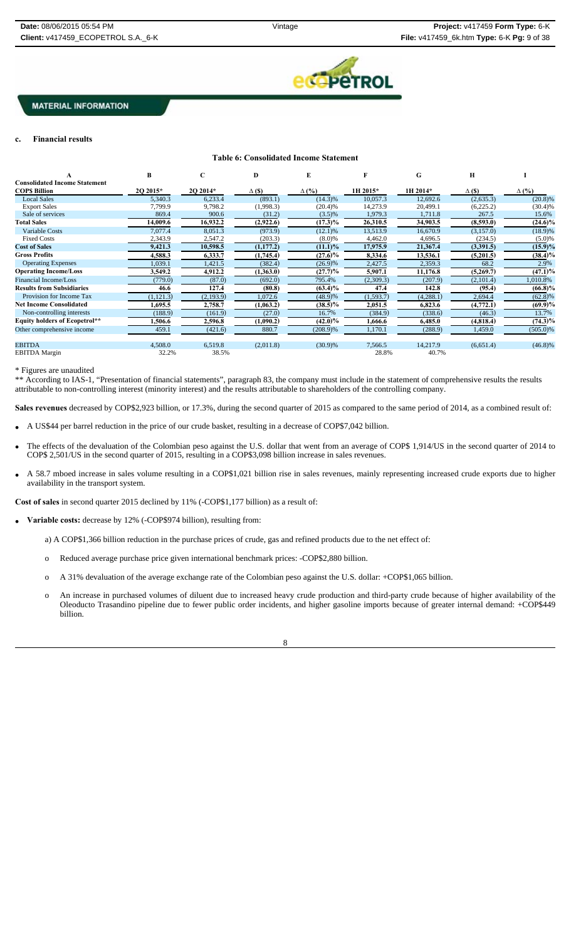

### **c. Financial results**

### **Table 6: Consolidated Income Statement**

|                                      | B          |           | D             | E            |            | G         | Н             |              |
|--------------------------------------|------------|-----------|---------------|--------------|------------|-----------|---------------|--------------|
| <b>Consolidated Income Statement</b> |            |           |               |              |            |           |               |              |
| <b>COPS Billion</b>                  | 2Q 2015*   | 2Q 2014*  | $\Delta$ (\$) | $\Delta$ (%) | 1H 2015*   | 1H 2014*  | $\Delta$ (\$) | $\Delta$ (%) |
| <b>Local Sales</b>                   | 5,340.3    | 6,233.4   | (893.1)       | $(14.3)\%$   | 10,057.3   | 12,692.6  | (2,635.3)     | $(20.8)\%$   |
| <b>Export Sales</b>                  | 7.799.9    | 9,798.2   | (1,998.3)     | (20.4)%      | 14,273.9   | 20,499.1  | (6,225.2)     | $(30.4)\%$   |
| Sale of services                     | 869.4      | 900.6     | (31.2)        | $(3.5)\%$    | 1,979.3    | 1,711.8   | 267.5         | 15.6%        |
| <b>Total Sales</b>                   | 14,009.6   | 16,932.2  | (2,922.6)     | $(17.3)\%$   | 26,310.5   | 34,903.5  | (8,593.0)     | (24.6)%      |
| Variable Costs                       | 7.077.4    | 8,051.3   | (973.9)       | $(12.1)$ %   | 13,513.9   | 16,670.9  | (3,157.0)     | $(18.9)\%$   |
| <b>Fixed Costs</b>                   | 2,343.9    | 2,547.2   | (203.3)       | $(8.0)\%$    | 4,462.0    | 4,696.5   | (234.5)       | $(5.0)\%$    |
| <b>Cost of Sales</b>                 | 9,421.3    | 10,598.5  | (1, 177.2)    | $(11.1)\%$   | 17,975.9   | 21,367.4  | (3,391.5)     | $(15.9)\%$   |
| <b>Gross Profits</b>                 | 4,588.3    | 6,333.7   | (1,745.4)     | $(27.6)\%$   | 8,334.6    | 13,536.1  | (5,201.5)     | $(38.4)\%$   |
| <b>Operating Expenses</b>            | 1,039.1    | 1,421.5   | (382.4)       | (26.9)%      | 2,427.5    | 2,359.3   | 68.2          | 2.9%         |
| <b>Operating Income/Loss</b>         | 3,549.2    | 4,912.2   | (1,363.0)     | $(27.7)\%$   | 5,907.1    | 11,176.8  | (5,269.7)     | (47.1)%      |
| Financial Income/Loss                | (779.0)    | (87.0)    | (692.0)       | 795.4%       | (2,309.3)  | (207.9)   | (2,101.4)     | 1,010.8%     |
| <b>Results from Subsidiaries</b>     | 46.6       | 127.4     | (80.8)        | $(63.4)\%$   | 47.4       | 142.8     | (95.4)        | $(66.8)\%$   |
| Provision for Income Tax             | (1, 121.3) | (2,193.9) | 1,072.6       | (48.9)%      | (1, 593.7) | (4,288.1) | 2,694.4       | $(62.8)\%$   |
| <b>Net Income Consolidated</b>       | 1,695.5    | 2,758.7   | (1,063.2)     | $(38.5)\%$   | 2,051.5    | 6,823.6   | (4, 772.1)    | $(69.9)\%$   |
| Non-controlling interests            | (188.9)    | (161.9)   | (27.0)        | 16.7%        | (384.9)    | (338.6)   | (46.3)        | 13.7%        |
| <b>Equity holders of Ecopetrol**</b> | 1,506.6    | 2,596.8   | (1,090.2)     | $(42.0)\%$   | 1,666.6    | 6,485.0   | (4,818.4)     | (74.3)%      |
| Other comprehensive income           | 459.1      | (421.6)   | 880.7         | (208.9)%     | 1,170.1    | (288.9)   | 1,459.0       | $(505.0)\%$  |
| <b>EBITDA</b>                        | 4,508.0    | 6,519.8   | (2,011.8)     | (30.9)%      | 7,566.5    | 14,217.9  | (6,651.4)     | $(46.8)\%$   |
| <b>EBITDA</b> Margin                 | 32.2%      | 38.5%     |               |              | 28.8%      | 40.7%     |               |              |

\* Figures are unaudited

\*\* According to IAS-1, "Presentation of financial statements", paragraph 83, the company must include in the statement of comprehensive results the results attributable to non-controlling interest (minority interest) and the results attributable to shareholders of the controlling company.

**Sales revenues** decreased by COP\$2,923 billion, or 17.3%, during the second quarter of 2015 as compared to the same period of 2014, as a combined result of:

- A US\$44 per barrel reduction in the price of our crude basket, resulting in a decrease of COP\$7,042 billion.
- The effects of the devaluation of the Colombian peso against the U.S. dollar that went from an average of COP\$ 1,914/US in the second quarter of 2014 to COP\$ 2,501/US in the second quarter of 2015, resulting in a COP\$3,098 billion increase in sales revenues.
- A 58.7 mboed increase in sales volume resulting in a COP\$1,021 billion rise in sales revenues, mainly representing increased crude exports due to higher availability in the transport system.

**Cost of sales** in second quarter 2015 declined by 11% (-COP\$1,177 billion) as a result of:

- **Variable costs:** decrease by 12% (-COP\$974 billion), resulting from:
	- a) A COP\$1,366 billion reduction in the purchase prices of crude, gas and refined products due to the net effect of:
	- o Reduced average purchase price given international benchmark prices: -COP\$2,880 billion.
	- o A 31% devaluation of the average exchange rate of the Colombian peso against the U.S. dollar: +COP\$1,065 billion.
	- o An increase in purchased volumes of diluent due to increased heavy crude production and third-party crude because of higher availability of the Oleoducto Trasandino pipeline due to fewer public order incidents, and higher gasoline imports because of greater internal demand: +COP\$449 billion.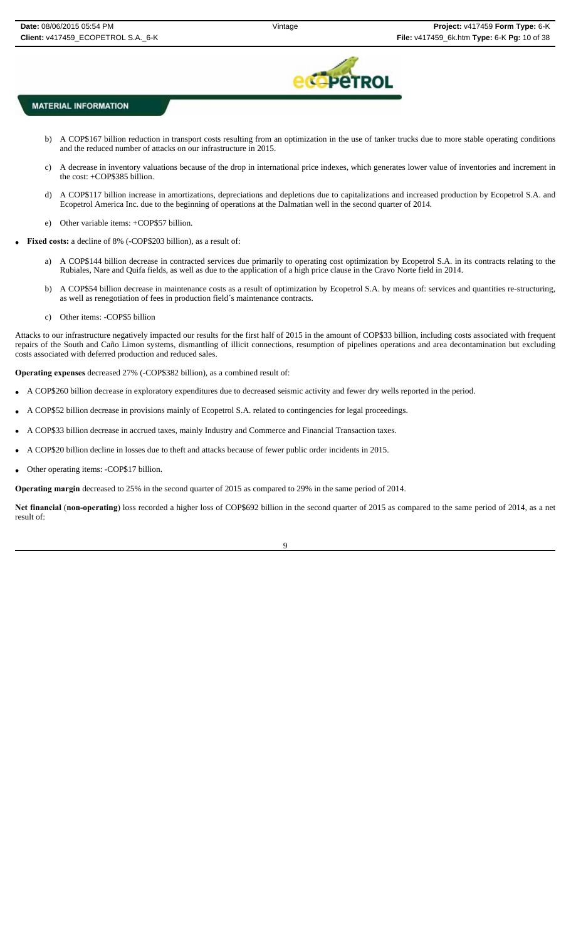

- b) A COP\$167 billion reduction in transport costs resulting from an optimization in the use of tanker trucks due to more stable operating conditions and the reduced number of attacks on our infrastructure in 2015.
- c) A decrease in inventory valuations because of the drop in international price indexes, which generates lower value of inventories and increment in the cost: +COP\$385 billion.
- d) A COP\$117 billion increase in amortizations, depreciations and depletions due to capitalizations and increased production by Ecopetrol S.A. and Ecopetrol America Inc. due to the beginning of operations at the Dalmatian well in the second quarter of 2014.
- e) Other variable items: +COP\$57 billion.
- **Fixed costs:** a decline of 8% (-COP\$203 billion), as a result of:
	- a) A COP\$144 billion decrease in contracted services due primarily to operating cost optimization by Ecopetrol S.A. in its contracts relating to the Rubiales, Nare and Quifa fields, as well as due to the application of a high price clause in the Cravo Norte field in 2014.
	- b) A COP\$54 billion decrease in maintenance costs as a result of optimization by Ecopetrol S.A. by means of: services and quantities re-structuring, as well as renegotiation of fees in production field´s maintenance contracts.
	- c) Other items: -COP\$5 billion

Attacks to our infrastructure negatively impacted our results for the first half of 2015 in the amount of COP\$33 billion, including costs associated with frequent repairs of the South and Caño Limon systems, dismantling of illicit connections, resumption of pipelines operations and area decontamination but excluding costs associated with deferred production and reduced sales.

**Operating expenses** decreased 27% (-COP\$382 billion), as a combined result of:

- A COP\$260 billion decrease in exploratory expenditures due to decreased seismic activity and fewer dry wells reported in the period.
- A COP\$52 billion decrease in provisions mainly of Ecopetrol S.A. related to contingencies for legal proceedings.
- A COP\$33 billion decrease in accrued taxes, mainly Industry and Commerce and Financial Transaction taxes.
- A COP\$20 billion decline in losses due to theft and attacks because of fewer public order incidents in 2015.
- Other operating items: -COP\$17 billion.

**Operating margin** decreased to 25% in the second quarter of 2015 as compared to 29% in the same period of 2014.

**Net financial** (**non-operating**) loss recorded a higher loss of COP\$692 billion in the second quarter of 2015 as compared to the same period of 2014, as a net result of: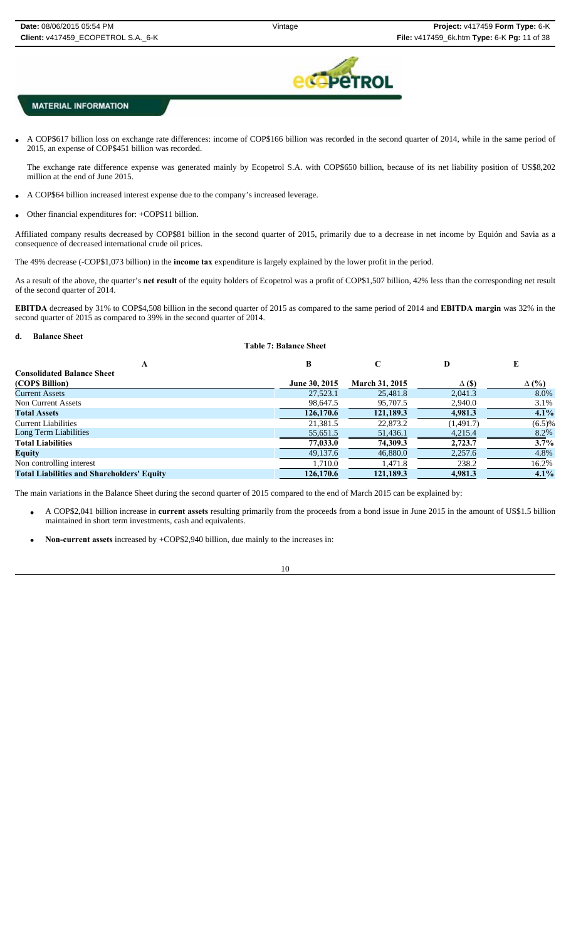

 A COP\$617 billion loss on exchange rate differences: income of COP\$166 billion was recorded in the second quarter of 2014, while in the same period of 2015, an expense of COP\$451 billion was recorded.

The exchange rate difference expense was generated mainly by Ecopetrol S.A. with COP\$650 billion, because of its net liability position of US\$8,202 million at the end of June 2015.

- A COP\$64 billion increased interest expense due to the company's increased leverage.
- Other financial expenditures for: +COP\$11 billion.

Affiliated company results decreased by COP\$81 billion in the second quarter of 2015, primarily due to a decrease in net income by Equión and Savia as a consequence of decreased international crude oil prices.

The 49% decrease (-COP\$1,073 billion) in the **income tax** expenditure is largely explained by the lower profit in the period.

As a result of the above, the quarter's **net result** of the equity holders of Ecopetrol was a profit of COP\$1,507 billion, 42% less than the corresponding net result of the second quarter of 2014.

**EBITDA** decreased by 31% to COP\$4,508 billion in the second quarter of 2015 as compared to the same period of 2014 and **EBITDA margin** was 32% in the second quarter of 2015 as compared to 39% in the second quarter of 2014.

#### **d. Balance Sheet**

| <b>Table 7: Balance Sheet</b>                     |               |                       |               |              |  |  |  |
|---------------------------------------------------|---------------|-----------------------|---------------|--------------|--|--|--|
| A                                                 | B             | C                     | D             | E            |  |  |  |
| <b>Consolidated Balance Sheet</b>                 |               |                       |               |              |  |  |  |
| (COPS Billion)                                    | June 30, 2015 | <b>March 31, 2015</b> | $\Delta$ (\$) | $\Delta$ (%) |  |  |  |
| <b>Current Assets</b>                             | 27,523.1      | 25,481.8              | 2.041.3       | 8.0%         |  |  |  |
| Non Current Assets                                | 98,647.5      | 95,707.5              | 2,940.0       | 3.1%         |  |  |  |
| <b>Total Assets</b>                               | 126,170.6     | 121.189.3             | 4,981.3       | $4.1\%$      |  |  |  |
| Current Liabilities                               | 21.381.5      | 22,873.2              | (1,491.7)     | $(6.5)\%$    |  |  |  |
| Long Term Liabilities                             | 55,651.5      | 51,436.1              | 4,215.4       | 8.2%         |  |  |  |
| <b>Total Liabilities</b>                          | 77,033.0      | 74,309.3              | 2,723.7       | 3.7%         |  |  |  |
| <b>Equity</b>                                     | 49,137.6      | 46,880.0              | 2,257.6       | 4.8%         |  |  |  |
| Non controlling interest                          | 1.710.0       | 1.471.8               | 238.2         | 16.2%        |  |  |  |
| <b>Total Liabilities and Shareholders' Equity</b> | 126,170.6     | 121,189.3             | 4,981.3       | $4.1\%$      |  |  |  |

The main variations in the Balance Sheet during the second quarter of 2015 compared to the end of March 2015 can be explained by:

- A COP\$2,041 billion increase in **current assets** resulting primarily from the proceeds from a bond issue in June 2015 in the amount of US\$1.5 billion maintained in short term investments, cash and equivalents.
- **Non-current assets** increased by +COP\$2,940 billion, due mainly to the increases in: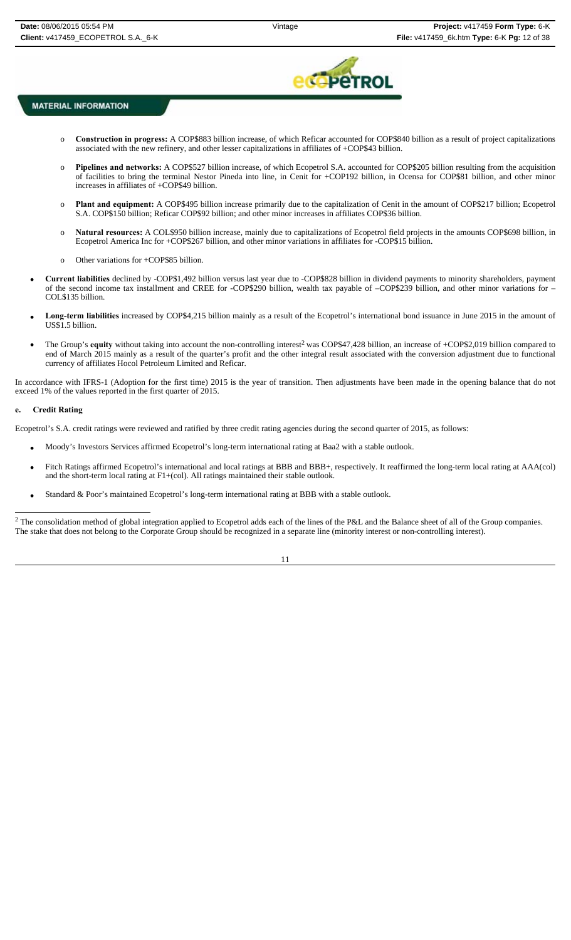

- o **Construction in progress:** A COP\$883 billion increase, of which Reficar accounted for COP\$840 billion as a result of project capitalizations associated with the new refinery, and other lesser capitalizations in affiliates of +COP\$43 billion.
- o **Pipelines and networks:** A COP\$527 billion increase, of which Ecopetrol S.A. accounted for COP\$205 billion resulting from the acquisition of facilities to bring the terminal Nestor Pineda into line, in Cenit for +COP192 billion, in Ocensa for COP\$81 billion, and other minor increases in affiliates of +COP\$49 billion.
- o **Plant and equipment:** A COP\$495 billion increase primarily due to the capitalization of Cenit in the amount of COP\$217 billion; Ecopetrol S.A. COP\$150 billion; Reficar COP\$92 billion; and other minor increases in affiliates COP\$36 billion.
- o **Natural resources:** A COL\$950 billion increase, mainly due to capitalizations of Ecopetrol field projects in the amounts COP\$698 billion, in Ecopetrol America Inc for +COP\$267 billion, and other minor variations in affiliates for -COP\$15 billion.
- o Other variations for +COP\$85 billion.
- **Current liabilities** declined by -COP\$1,492 billion versus last year due to -COP\$828 billion in dividend payments to minority shareholders, payment of the second income tax installment and CREE for -COP\$290 billion, wealth tax payable of –COP\$239 billion, and other minor variations for – COL\$135 billion.
- **Long-term liabilities** increased by COP\$4,215 billion mainly as a result of the Ecopetrol's international bond issuance in June 2015 in the amount of US\$1.5 billion.
- The Group's **equity** without taking into account the non-controlling interest<sup>2</sup> was COP\$47,428 billion, an increase of +COP\$2,019 billion compared to end of March 2015 mainly as a result of the quarter's profit and the other integral result associated with the conversion adjustment due to functional currency of affiliates Hocol Petroleum Limited and Reficar.

In accordance with IFRS-1 (Adoption for the first time) 2015 is the year of transition. Then adjustments have been made in the opening balance that do not exceed 1% of the values reported in the first quarter of 2015.

### **e. Credit Rating**

Ecopetrol's S.A. credit ratings were reviewed and ratified by three credit rating agencies during the second quarter of 2015, as follows:

- Moody's Investors Services affirmed Ecopetrol's long-term international rating at Baa2 with a stable outlook.
- Fitch Ratings affirmed Ecopetrol's international and local ratings at BBB and BBB+, respectively. It reaffirmed the long-term local rating at AAA(col) and the short-term local rating at F1+(col). All ratings maintained their stable outlook.
- Standard & Poor's maintained Ecopetrol's long-term international rating at BBB with a stable outlook.

<sup>2</sup> The consolidation method of global integration applied to Ecopetrol adds each of the lines of the P&L and the Balance sheet of all of the Group companies. The stake that does not belong to the Corporate Group should be recognized in a separate line (minority interest or non-controlling interest).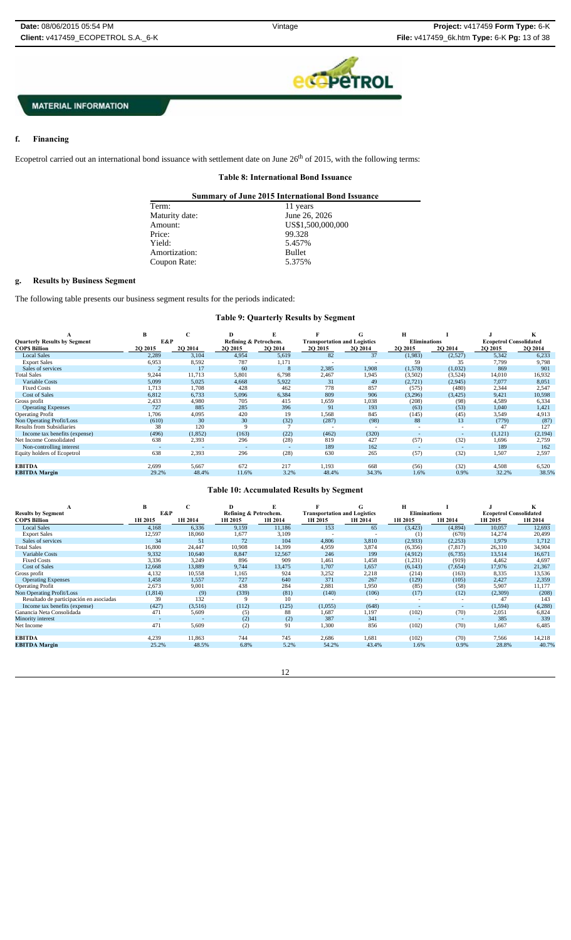

#### f. **f. Financing**

Ecopetrol carried out an international bond issuance with settlement date on June 26<sup>th</sup> of 2015, with the following terms:

### **Table 8: International Bond Issuance**

| <b>Summary of June 2015 International Bond Issuance</b> |                   |  |  |  |  |
|---------------------------------------------------------|-------------------|--|--|--|--|
| Term:                                                   | 11 years          |  |  |  |  |
| Maturity date:                                          | June 26, 2026     |  |  |  |  |
| Amount:                                                 | US\$1,500,000,000 |  |  |  |  |
| Price:                                                  | 99.328            |  |  |  |  |
| Yield:                                                  | 5.457%            |  |  |  |  |
| Amortization:                                           | <b>Bullet</b>     |  |  |  |  |
| Coupon Rate:                                            | 5.375%            |  |  |  |  |
|                                                         |                   |  |  |  |  |

### **g. Results by Business Segment**

The following table presents our business segment results for the periods indicated:

## **Table 9: Quarterly Results by Segment**

|                                     | B       | U.      | D                     |                          |                                     |         |                     |          |                               |         |
|-------------------------------------|---------|---------|-----------------------|--------------------------|-------------------------------------|---------|---------------------|----------|-------------------------------|---------|
| <b>Quarterly Results by Segment</b> | E&P     |         | Refining & Petrochem. |                          | <b>Transportation and Logistics</b> |         | <b>Eliminations</b> |          | <b>Ecopetrol Consolidated</b> |         |
| <b>COPS Billion</b>                 | 2Q 2015 | 2Q 2014 | <b>2O 2015</b>        | <b>202014</b>            | 2Q 2015                             | 2Q 2014 | 2Q 2015             | 2Q 2014  | 2Q 2015                       | 2Q 2014 |
| <b>Local Sales</b>                  | 2,289   | 3,104   | 4,954                 | 5,619                    | 82                                  | 37      | (1,983)             | (2,527)  | 5,342                         | 6,233   |
| <b>Export Sales</b>                 | 6,953   | 8,592   | 787                   | 1,171                    |                                     |         | 59                  | 35       | 7,799                         | 9,798   |
| Sales of services                   |         | 17      | 60                    | 8                        | 2,385                               | 1,908   | (1,578)             | (1,032)  | 869                           | 901     |
| <b>Total Sales</b>                  | 9,244   | 11,713  | 5,801                 | 6.798                    | 2.467                               | 1.945   | (3,502)             | (3,524)  | 14.010                        | 16,932  |
| Variable Costs                      | 5,099   | 5,025   | 4,668                 | 5,922                    | 31                                  | 49      | (2, 721)            | (2,945)  | 7,077                         | 8,051   |
| <b>Fixed Costs</b>                  | 1.713   | 1,708   | 428                   | 462                      | 778                                 | 857     | (575)               | (480)    | 2,344                         | 2,547   |
| <b>Cost of Sales</b>                | 6,812   | 6,733   | 5,096                 | 6,384                    | 809                                 | 906     | (3,296)             | (3, 425) | 9,421                         | 10,598  |
| Gross profit                        | 2,433   | 4.980   | 705                   | 415                      | 1,659                               | 1,038   | (208)               | (98)     | 4,589                         | 6,334   |
| <b>Operating Expenses</b>           | 727     | 885     | 285                   | 396                      | 91                                  | 193     | (63)                | (53)     | 1,040                         | 1,421   |
| <b>Operating Profit</b>             | 1,706   | 4,095   | 420                   | 19                       | 1,568                               | 845     | (145)               | (45)     | 3,549                         | 4,913   |
| Non Operating Profit/Loss           | (610)   | 30      | 30                    | (32)                     | (287)                               | (98)    | 88                  | 13       | (779)                         | (87)    |
| <b>Results from Subsidiaries</b>    | 38      | 120     |                       |                          |                                     |         |                     |          | 47                            | 127     |
| Income tax benefits (expense)       | (496)   | (1,852) | (163)                 | (22)                     | (462)                               | (320)   |                     |          | (1, 121)                      | (2,194) |
| Net Income Consolidated             | 638     | 2,393   | 296                   | (28)                     | 819                                 | 427     | (57)                | (32)     | 1,696                         | 2,759   |
| Non-controlling interest            |         |         |                       | $\overline{\phantom{a}}$ | 189                                 | 162     | $\sim$              |          | 189                           | 162     |
| Equity holders of Ecopetrol         | 638     | 2,393   | 296                   | (28)                     | 630                                 | 265     | (57)                | (32)     | 1,507                         | 2,597   |
|                                     |         |         |                       |                          |                                     |         |                     |          |                               |         |
| <b>EBITDA</b>                       | 2,699   | 5,667   | 672                   | 217                      | 1,193                               | 668     | (56)                | (32)     | 4,508                         | 6,520   |
| <b>EBITDA Margin</b>                | 29.2%   | 48.4%   | 11.6%                 | 3.2%                     | 48.4%                               | 34.3%   | 1.6%                | 0.9%     | 32.2%                         | 38.5%   |

## **Table 10: Accumulated Results by Segment**

| A                                       | в        | C       | D       |                       |                          | G                                   | н                        |                          |                               |         |
|-----------------------------------------|----------|---------|---------|-----------------------|--------------------------|-------------------------------------|--------------------------|--------------------------|-------------------------------|---------|
| <b>Results by Segment</b>               | E&P      |         |         | Refining & Petrochem. |                          | <b>Transportation and Logistics</b> | <b>Eliminations</b>      |                          | <b>Ecopetrol Consolidated</b> |         |
| <b>COPS Billion</b>                     | 1H 2015  | 1H 2014 | 1H 2015 | 1H 2014               | 1H 2015                  | 1H 2014                             | 1H 2015                  | 1H 2014                  | 1H 2015                       | 1H 2014 |
| <b>Local Sales</b>                      | 4,168    | 6,336   | 9,159   | 11,186                | 153                      | 65                                  | (3, 423)                 | (4,894)                  | 10.057                        | 12,693  |
| <b>Export Sales</b>                     | 12,597   | 18,060  | 1.677   | 3,109                 | $\overline{\phantom{a}}$ | $\overline{\phantom{a}}$            | (1)                      | (670)                    | 14,274                        | 20,499  |
| Sales of services                       | 34       | 51      | 72      | 104                   | 4,806                    | 3,810                               | (2,933)                  | (2,253)                  | 1,979                         | 1,712   |
| <b>Total Sales</b>                      | 16,800   | 24,447  | 10,908  | 14,399                | 4,959                    | 3,874                               | (6,356)                  | (7,817)                  | 26,310                        | 34,904  |
| Variable Costs                          | 9,332    | 10.640  | 8.847   | 12.567                | 246                      | 199                                 | (4,912)                  | (6,735)                  | 13,514                        | 16,671  |
| <b>Fixed Costs</b>                      | 3,336    | 3,249   | 896     | 909                   | 1.461                    | 1,458                               | (1,231)                  | (919)                    | 4,462                         | 4,697   |
| <b>Cost of Sales</b>                    | 12,668   | 13.889  | 9.744   | 13.475                | 1,707                    | 1,657                               | (6, 143)                 | (7,654)                  | 17,976                        | 21,367  |
| Gross profit                            | 4,132    | 10,558  | 1,165   | 924                   | 3,252                    | 2,218                               | (214)                    | (163)                    | 8,335                         | 13,536  |
| <b>Operating Expenses</b>               | 1.458    | 1,557   | 727     | 640                   | 371                      | 267                                 | (129)                    | (105)                    | 2,427                         | 2,359   |
| <b>Operating Profit</b>                 | 2,673    | 9,001   | 438     | 284                   | 2,881                    | 1,950                               | (85)                     | (58)                     | 5,907                         | 11,177  |
| Non Operating Profit/Loss               | (1, 814) | (9)     | (339)   | (81)                  | (140)                    | (106)                               | (17)                     | (12)                     | (2,309)                       | (208)   |
| Resultado de participación en asociadas | 39       | 132     | 9       | 10                    |                          |                                     | $\overline{\phantom{a}}$ |                          | 47                            | 143     |
| Income tax benefits (expense)           | (427)    | (3,516) | (112)   | (125)                 | (1,055)                  | (648)                               | $\overline{\phantom{a}}$ | $\overline{\phantom{a}}$ | (1,594)                       | (4,288) |
| Ganancia Neta Consolidada               | 471      | 5,609   | (5)     | 88                    | 1,687                    | 1,197                               | (102)                    | (70)                     | 2,051                         | 6,824   |
| Minority interest                       |          |         | (2)     | (2)                   | 387                      | 341                                 |                          |                          | 385                           | 339     |
| Net Income                              | 471      | 5,609   | (2)     | 91                    | 1,300                    | 856                                 | (102)                    | (70)                     | 1,667                         | 6,485   |
|                                         |          |         |         |                       |                          |                                     |                          |                          |                               |         |
| <b>EBITDA</b>                           | 4,239    | 11,863  | 744     | 745                   | 2,686                    | 1.681                               | (102)                    | (70)                     | 7,566                         | 14,218  |
| <b>EBITDA</b> Margin                    | 25.2%    | 48.5%   | 6.8%    | 5.2%                  | 54.2%                    | 43.4%                               | 1.6%                     | 0.9%                     | 28.8%                         | 40.7%   |
|                                         |          |         |         |                       |                          |                                     |                          |                          |                               |         |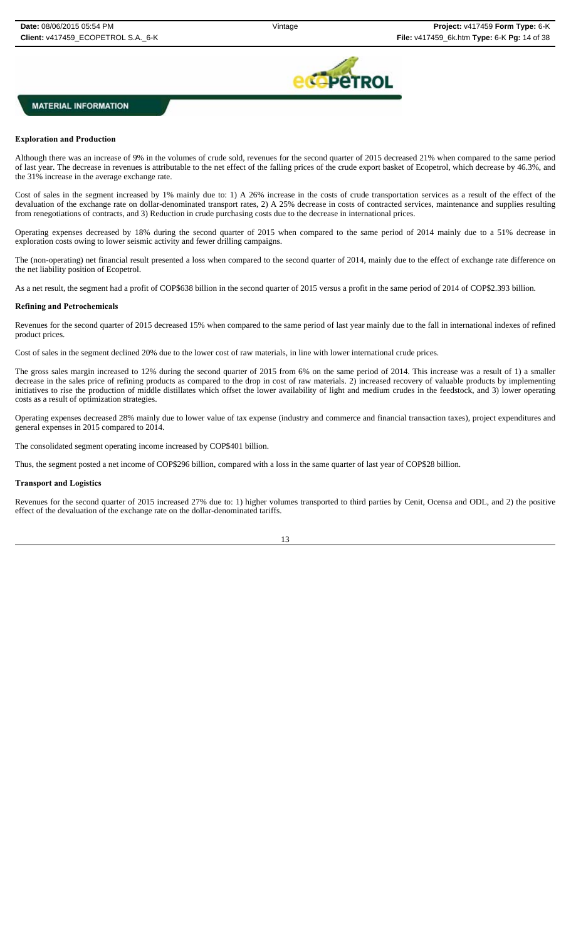

### **Exploration and Production**

Although there was an increase of 9% in the volumes of crude sold, revenues for the second quarter of 2015 decreased 21% when compared to the same period of last year. The decrease in revenues is attributable to the net effect of the falling prices of the crude export basket of Ecopetrol, which decrease by 46.3%, and the 31% increase in the average exchange rate.

Cost of sales in the segment increased by 1% mainly due to: 1) A 26% increase in the costs of crude transportation services as a result of the effect of the devaluation of the exchange rate on dollar-denominated transport rates, 2) A 25% decrease in costs of contracted services, maintenance and supplies resulting from renegotiations of contracts, and 3) Reduction in crude purchasing costs due to the decrease in international prices.

Operating expenses decreased by 18% during the second quarter of 2015 when compared to the same period of 2014 mainly due to a 51% decrease in exploration costs owing to lower seismic activity and fewer drilling campaigns.

The (non-operating) net financial result presented a loss when compared to the second quarter of 2014, mainly due to the effect of exchange rate difference on the net liability position of Ecopetrol.

As a net result, the segment had a profit of COP\$638 billion in the second quarter of 2015 versus a profit in the same period of 2014 of COP\$2.393 billion.

#### **Refining and Petrochemicals**

Revenues for the second quarter of 2015 decreased 15% when compared to the same period of last year mainly due to the fall in international indexes of refined product prices.

Cost of sales in the segment declined 20% due to the lower cost of raw materials, in line with lower international crude prices.

The gross sales margin increased to 12% during the second quarter of 2015 from 6% on the same period of 2014. This increase was a result of 1) a smaller decrease in the sales price of refining products as compared to the drop in cost of raw materials. 2) increased recovery of valuable products by implementing initiatives to rise the production of middle distillates which offset the lower availability of light and medium crudes in the feedstock, and 3) lower operating costs as a result of optimization strategies.

Operating expenses decreased 28% mainly due to lower value of tax expense (industry and commerce and financial transaction taxes), project expenditures and general expenses in 2015 compared to 2014.

The consolidated segment operating income increased by COP\$401 billion.

Thus, the segment posted a net income of COP\$296 billion, compared with a loss in the same quarter of last year of COP\$28 billion.

#### **Transport and Logistics**

Revenues for the second quarter of 2015 increased 27% due to: 1) higher volumes transported to third parties by Cenit, Ocensa and ODL, and 2) the positive effect of the devaluation of the exchange rate on the dollar-denominated tariffs.

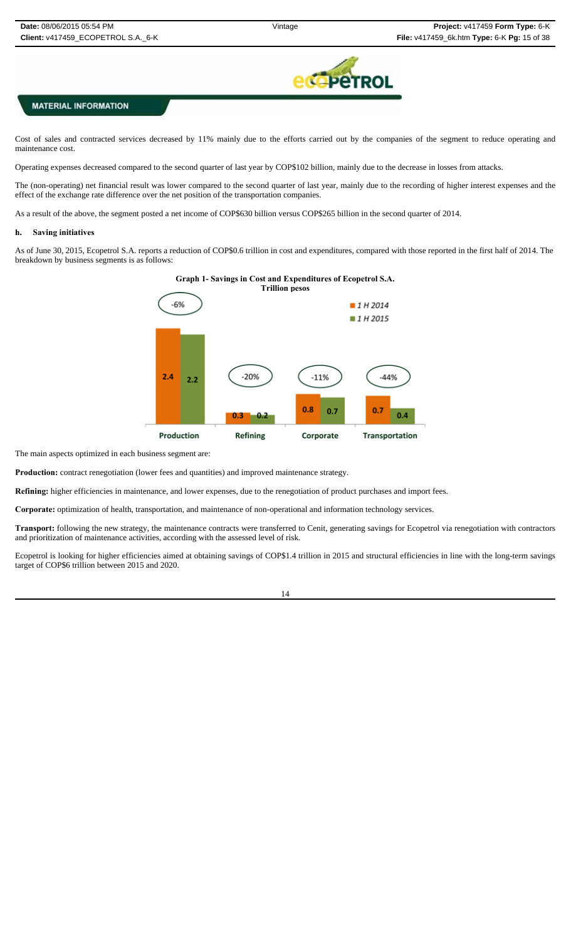

Cost of sales and contracted services decreased by 11% mainly due to the efforts carried out by the companies of the segment to reduce operating and maintenance cost.

Operating expenses decreased compared to the second quarter of last year by COP\$102 billion, mainly due to the decrease in losses from attacks.

The (non-operating) net financial result was lower compared to the second quarter of last year, mainly due to the recording of higher interest expenses and the effect of the exchange rate difference over the net position of the transportation companies.

As a result of the above, the segment posted a net income of COP\$630 billion versus COP\$265 billion in the second quarter of 2014.

#### **h. Saving initiatives**

As of June 30, 2015, Ecopetrol S.A. reports a reduction of COP\$0.6 trillion in cost and expenditures, compared with those reported in the first half of 2014. The breakdown by business segments is as follows:



The main aspects optimized in each business segment are:

**Production:** contract renegotiation (lower fees and quantities) and improved maintenance strategy.

**Refining:** higher efficiencies in maintenance, and lower expenses, due to the renegotiation of product purchases and import fees.

**Corporate:** optimization of health, transportation, and maintenance of non-operational and information technology services.

**Transport:** following the new strategy, the maintenance contracts were transferred to Cenit, generating savings for Ecopetrol via renegotiation with contractors and prioritization of maintenance activities, according with the assessed level of risk.

Ecopetrol is looking for higher efficiencies aimed at obtaining savings of COP\$1.4 trillion in 2015 and structural efficiencies in line with the long-term savings target of COP\$6 trillion between 2015 and 2020.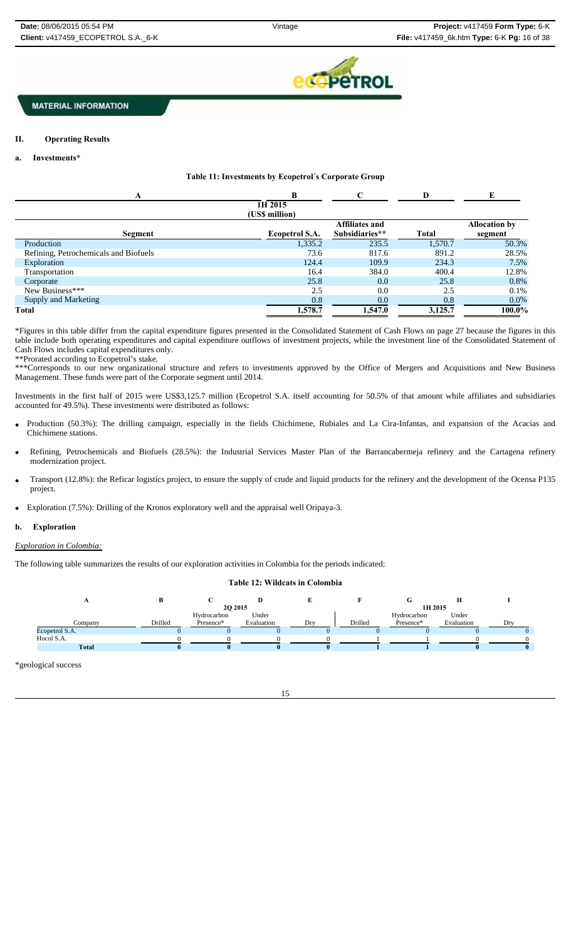

### **II. Operating Results**

### **a. Investments\***

### **Table 11: Investments by Ecopetrol´s Corporate Group**

| A                                     | R                         | C                     | D       | E                    |
|---------------------------------------|---------------------------|-----------------------|---------|----------------------|
|                                       | 1H 2015<br>(US\$ million) |                       |         |                      |
|                                       |                           | <b>Affiliates and</b> |         | <b>Allocation by</b> |
| Segment                               | Ecopetrol S.A.            | Subsidiaries**        | Total   | segment              |
| Production                            | 1,335.2                   | 235.5                 | 1.570.7 | 50.3%                |
| Refining, Petrochemicals and Biofuels | 73.6                      | 817.6                 | 891.2   | 28.5%                |
| Exploration                           | 124.4                     | 109.9                 | 234.3   | 7.5%                 |
| Transportation                        | 16.4                      | 384.0                 | 400.4   | 12.8%                |
| Corporate                             | 25.8                      | 0.0                   | 25.8    | 0.8%                 |
| New Business***                       | 2.5                       | 0.0                   | 2.5     | 0.1%                 |
| <b>Supply and Marketing</b>           | 0.8                       | 0.0                   | 0.8     | $0.0\%$              |
| Total                                 | 1,578.7                   | 1,547.0               | 3,125.7 | 100.0%               |

\*Figures in this table differ from the capital expenditure figures presented in the Consolidated Statement of Cash Flows on page 27 because the figures in this table include both operating expenditures and capital expenditure outflows of investment projects, while the investment line of the Consolidated Statement of Cash Flows includes capital expenditures only. \*\*Prorated according to Ecopetrol's stake.

\*\*\*Corresponds to our new organizational structure and refers to investments approved by the Office of Mergers and Acquisitions and New Business Management. These funds were part of the Corporate segment until 2014.

Investments in the first half of 2015 were US\$3,125.7 million (Ecopetrol S.A. itself accounting for 50.5% of that amount while affiliates and subsidiaries accounted for 49.5%). These investments were distributed as follows:

- Production (50.3%): The drilling campaign, especially in the fields Chichimene, Rubiales and La Cira-Infantas, and expansion of the Acacias and Chichimene stations.
- Refining, Petrochemicals and Biofuels (28.5%): the Industrial Services Master Plan of the Barrancabermeja refinery and the Cartagena refinery modernization project.
- Transport (12.8%): the Reficar logistics project, to ensure the supply of crude and liquid products for the refinery and the development of the Ocensa P135 project.
- Exploration (7.5%): Drilling of the Kronos exploratory well and the appraisal well Oripaya-3.

### **b. Exploration**

### *Exploration in Colombia:*

The following table summarizes the results of our exploration activities in Colombia for the periods indicated:

### **Table 12: Wildcats in Colombia**

|                |         | <b>2O 2015</b> |            |     | 1H 2015 |             |            |  |  |
|----------------|---------|----------------|------------|-----|---------|-------------|------------|--|--|
|                |         | Hydrocarbon    | Under      |     |         | Hydrocarbon | Under      |  |  |
| Company        | Drilled | Presence*      | Evaluation | Drv | Drilled | Presence*   | Evaluation |  |  |
| Ecopetrol S.A. |         |                |            |     |         |             |            |  |  |
| Hocol S.A.     |         |                |            |     |         |             |            |  |  |
| <b>Total</b>   |         |                |            |     |         |             |            |  |  |
|                |         |                |            |     |         |             |            |  |  |

\*geological success

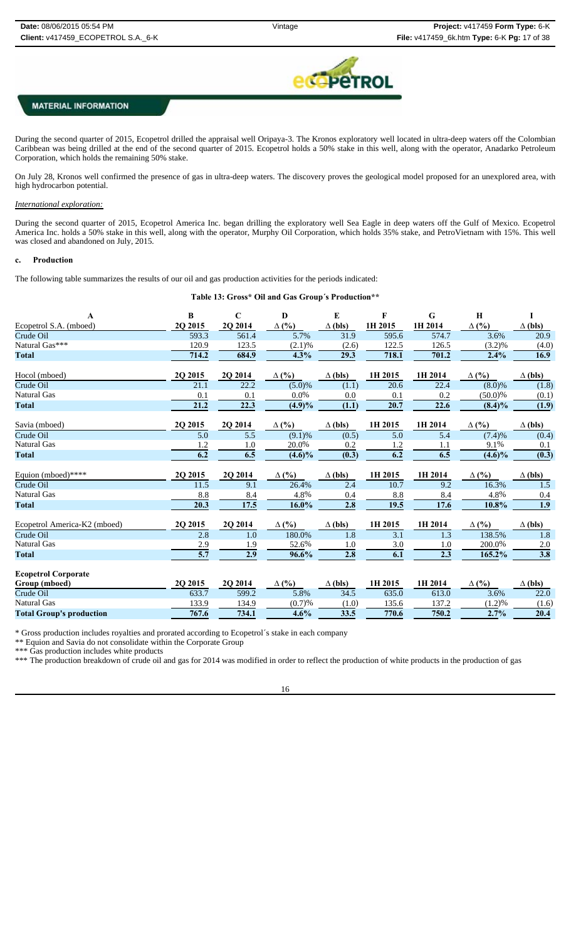

During the second quarter of 2015, Ecopetrol drilled the appraisal well Oripaya-3. The Kronos exploratory well located in ultra-deep waters off the Colombian Caribbean was being drilled at the end of the second quarter of 2015. Ecopetrol holds a 50% stake in this well, along with the operator, Anadarko Petroleum Corporation, which holds the remaining 50% stake.

On July 28, Kronos well confirmed the presence of gas in ultra-deep waters. The discovery proves the geological model proposed for an unexplored area, with high hydrocarbon potential.

### *International exploration:*

During the second quarter of 2015, Ecopetrol America Inc. began drilling the exploratory well Sea Eagle in deep waters off the Gulf of Mexico. Ecopetrol America Inc. holds a 50% stake in this well, along with the operator, Murphy Oil Corporation, which holds 35% stake, and PetroVietnam with 15%. This well was closed and abandoned on July, 2015.

### **c. Production**

The following table summarizes the results of our oil and gas production activities for the periods indicated:

**Table 13: Gross\* Oil and Gas Group´s Production\*\***

| $\mathbf A$                     | B                 | $\mathbf C$       | $\mathbf{D}$ | E              | F       | G                | $\mathbf H$  | I                |
|---------------------------------|-------------------|-------------------|--------------|----------------|---------|------------------|--------------|------------------|
| Ecopetrol S.A. (mboed)          | 2Q 2015           | 2Q 2014           | $\Delta$ (%) | $\Delta$ (bls) | 1H 2015 | 1H 2014          | $\Delta$ (%) | $\Delta$ (bls)   |
| Crude Oil                       | 593.3             | 561.4             | 5.7%         | 31.9           | 595.6   | 574.7            | 3.6%         | 20.9             |
| Natural Gas***                  | 120.9             | 123.5             | (2.1)%       | (2.6)          | 122.5   | 126.5            | $(3.2)\%$    | (4.0)            |
| <b>Total</b>                    | 714.2             | 684.9             | 4.3%         | 29.3           | 718.1   | 701.2            | 2.4%         | 16.9             |
| Hocol (mboed)                   | 20 20 15          | 2Q 2014           | $\Delta$ (%) | $\Delta$ (bls) | 1H 2015 | 1H 2014          | $\Delta$ (%) | $\Delta$ (bls)   |
| Crude Oil                       | 21.1              | 22.2              | (5.0)%       | (1.1)          | 20.6    | 22.4             | $(8.0)\%$    | (1.8)            |
| <b>Natural Gas</b>              | 0.1               | 0.1               | 0.0%         | 0.0            | 0.1     | 0.2              | $(50.0)\%$   | (0.1)            |
| <b>Total</b>                    | $\overline{21.2}$ | $\overline{22.3}$ | $(4.9)\%$    | (1.1)          | 20.7    | 22.6             | $(8.4)\%$    | (1.9)            |
| Savia (mboed)                   | 2Q 2015           | 2Q 2014           | $\Delta$ (%) | $\Delta$ (bls) | 1H 2015 | 1H 2014          | $\Delta$ (%) | $\Delta$ (bls)   |
| Crude Oil                       | 5.0               | $\overline{5.5}$  | (9.1)%       | (0.5)          | 5.0     | $\overline{5.4}$ | (7.4)%       | (0.4)            |
| <b>Natural Gas</b>              | 1.2               | 1.0               | 20.0%        | 0.2            | 1.2     | 1.1              | 9.1%         | 0.1              |
| <b>Total</b>                    | 6.2               | 6.5               | $(4.6)\%$    | (0.3)          | 6.2     | 6.5              | $(4.6)\%$    | (0.3)            |
| Equion (mboed)****              | 2Q 2015           | 2Q 2014           | $\Delta$ (%) | $\Delta$ (bls) | 1H 2015 | 1H 2014          | $\Delta$ (%) | $\Delta$ (bls)   |
| Crude Oil                       | 11.5              | 9.1               | 26.4%        | 2.4            | 10.7    | 9.2              | 16.3%        | 1.5              |
| <b>Natural Gas</b>              | 8.8               | 8.4               | 4.8%         | 0.4            | 8.8     | 8.4              | 4.8%         | 0.4              |
| <b>Total</b>                    | 20.3              | 17.5              | 16.0%        | 2.8            | 19.5    | 17.6             | 10.8%        | 1.9              |
| Ecopetrol America-K2 (mboed)    | 2Q 2015           | 2Q 2014           | $\Delta$ (%) | $\Delta$ (bls) | 1H 2015 | 1H 2014          | $\Delta$ (%) | $\Delta$ (bls)   |
| Crude Oil                       | 2.8               | 1.0               | 180.0%       | 1.8            | 3.1     | 1.3              | 138.5%       | 1.8              |
| <b>Natural Gas</b>              | 2.9               | 1.9               | 52.6%        | 1.0            | 3.0     | 1.0              | 200.0%       | 2.0              |
| <b>Total</b>                    | $\overline{5.7}$  | $\overline{2.9}$  | 96.6%        | 2.8            | 6.1     | $\overline{2.3}$ | 165.2%       | $\overline{3.8}$ |
| <b>Ecopetrol Corporate</b>      |                   |                   |              |                |         |                  |              |                  |
| Group (mboed)                   | 20 20 15          | 2Q 2014           | $\Delta$ (%) | $\Delta$ (bls) | 1H 2015 | 1H 2014          | $\Delta$ (%) | $\Delta$ (bls)   |
| Crude Oil                       | 633.7             | 599.2             | 5.8%         | 34.5           | 635.0   | 613.0            | 3.6%         | 22.0             |
| <b>Natural Gas</b>              | 133.9             | 134.9             | (0.7)%       | (1.0)          | 135.6   | 137.2            | (1.2)%       | (1.6)            |
| <b>Total Group's production</b> | 767.6             | 734.1             | 4.6%         | 33.5           | 770.6   | 750.2            | 2.7%         | 20.4             |

\* Gross production includes royalties and prorated according to Ecopetrol´s stake in each company

\*\* Equion and Savia do not consolidate within the Corporate Group

\*\*\* Gas production includes white products

\*\*\* The production breakdown of crude oil and gas for 2014 was modified in order to reflect the production of white products in the production of gas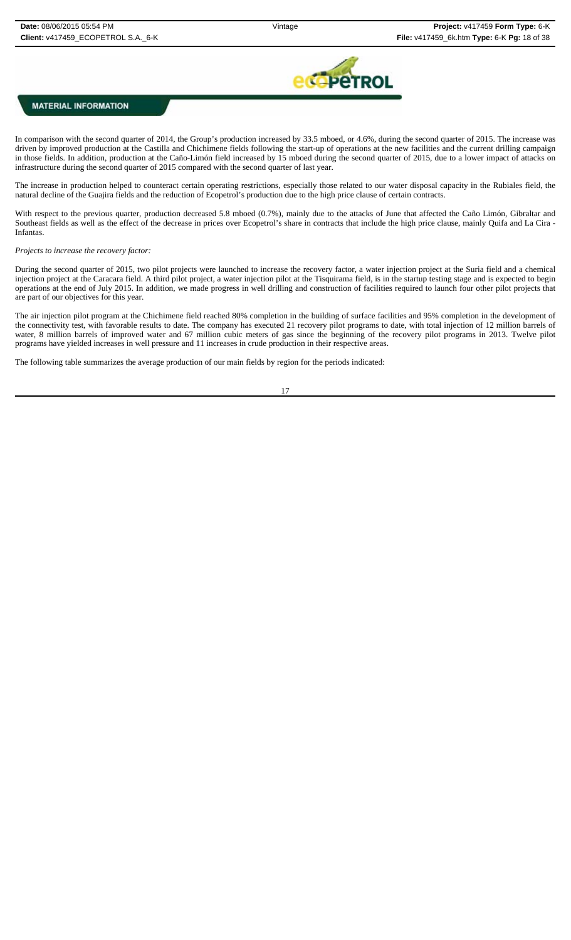

In comparison with the second quarter of 2014, the Group's production increased by 33.5 mboed, or 4.6%, during the second quarter of 2015. The increase was driven by improved production at the Castilla and Chichimene fields following the start-up of operations at the new facilities and the current drilling campaign in those fields. In addition, production at the Caño-Limón field increased by 15 mboed during the second quarter of 2015, due to a lower impact of attacks on infrastructure during the second quarter of 2015 compared with the second quarter of last year.

The increase in production helped to counteract certain operating restrictions, especially those related to our water disposal capacity in the Rubiales field, the natural decline of the Guajira fields and the reduction of Ecopetrol's production due to the high price clause of certain contracts.

With respect to the previous quarter, production decreased 5.8 mboed (0.7%), mainly due to the attacks of June that affected the Caño Limón, Gibraltar and Southeast fields as well as the effect of the decrease in prices over Ecopetrol's share in contracts that include the high price clause, mainly Quifa and La Cira - Infantas.

#### *Projects to increase the recovery factor:*

During the second quarter of 2015, two pilot projects were launched to increase the recovery factor, a water injection project at the Suria field and a chemical injection project at the Caracara field. A third pilot project, a water injection pilot at the Tisquirama field, is in the startup testing stage and is expected to begin operations at the end of July 2015. In addition, we made progress in well drilling and construction of facilities required to launch four other pilot projects that are part of our objectives for this year.

The air injection pilot program at the Chichimene field reached 80% completion in the building of surface facilities and 95% completion in the development of the connectivity test, with favorable results to date. The company has executed 21 recovery pilot programs to date, with total injection of 12 million barrels of water, 8 million barrels of improved water and 67 million cubic meters of gas since the beginning of the recovery pilot programs in 2013. Twelve pilot programs have yielded increases in well pressure and 11 increases in crude production in their respective areas.

The following table summarizes the average production of our main fields by region for the periods indicated:

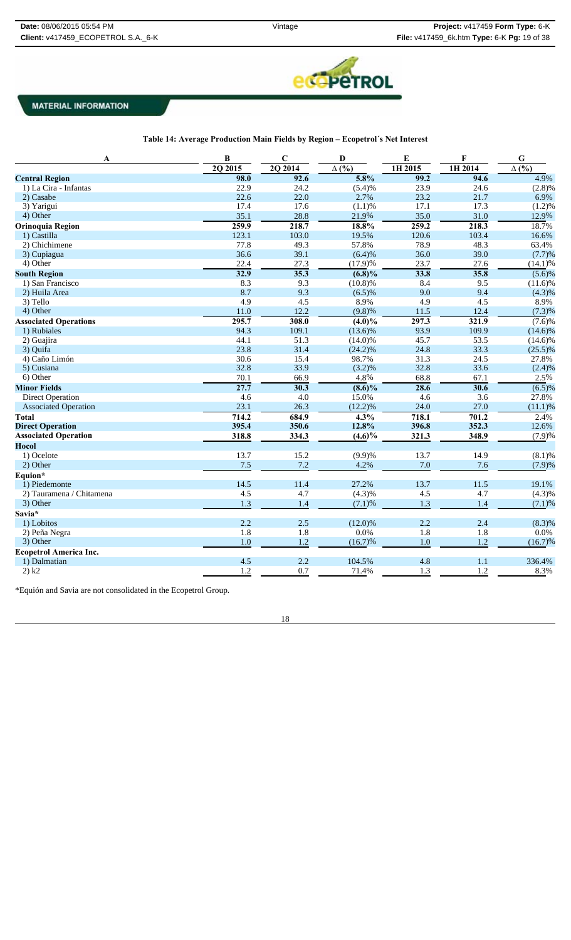

| Table 14: Average Production Main Fields by Region – Ecopetrol's Net Interest |  |  |
|-------------------------------------------------------------------------------|--|--|
|-------------------------------------------------------------------------------|--|--|

| A                             | $\bf{B}$ | $\mathbf C$ | D                    | E       | F       | ${\bf G}$    |
|-------------------------------|----------|-------------|----------------------|---------|---------|--------------|
|                               | 2Q 2015  | 2Q 2014     | $\Delta$ (%)         | 1H 2015 | 1H 2014 | $\Delta($ %) |
| <b>Central Region</b>         | 98.0     | 92.6        | 5.8%                 | 99.2    | 94.6    | 4.9%         |
| 1) La Cira - Infantas         | 22.9     | 24.2        | (5.4)%               | 23.9    | 24.6    | (2.8)%       |
| 2) Casabe                     | 22.6     | 22.0        | 2.7%                 | 23.2    | 21.7    | 6.9%         |
| 3) Yarigui                    | 17.4     | 17.6        | (1.1)%               | 17.1    | 17.3    | (1.2)%       |
| 4) Other                      | 35.1     | 28.8        | 21.9%                | 35.0    | 31.0    | 12.9%        |
| <b>Orinoquia Region</b>       | 259.9    | 218.7       | 18.8%                | 259.2   | 218.3   | 18.7%        |
| 1) Castilla                   | 123.1    | 103.0       | 19.5%                | 120.6   | 103.4   | 16.6%        |
| 2) Chichimene                 | 77.8     | 49.3        | 57.8%                | 78.9    | 48.3    | 63.4%        |
| 3) Cupiagua                   | 36.6     | 39.1        | (6.4)%               | 36.0    | 39.0    | (7.7)%       |
| 4) Other                      | 22.4     | 27.3        | (17.9)%              | 23.7    | 27.6    | (14.1)%      |
| <b>South Region</b>           | 32.9     | 35.3        | $(6.8)\%$            | 33.8    | 35.8    | $(5.6)\%$    |
| 1) San Francisco              | 8.3      | 9.3         | (10.8)%              | 8.4     | 9.5     | $(11.6)\%$   |
| 2) Huila Area                 | 8.7      | 9.3         | (6.5)%               | 9.0     | 9.4     | (4.3)%       |
| 3) Tello                      | 4.9      | 4.5         | 8.9%                 | 4.9     | 4.5     | 8.9%         |
| 4) Other                      | 11.0     | 12.2        | (9.8)%               | 11.5    | 12.4    | (7.3)%       |
| <b>Associated Operations</b>  | 295.7    | 308.0       | $\overline{(4.0)}\%$ | 297.3   | 321.9   | $(7.6)\%$    |
| 1) Rubiales                   | 94.3     | 109.1       | $(13.6)\%$           | 93.9    | 109.9   | $(14.6)\%$   |
| 2) Guajira                    | 44.1     | 51.3        | $(14.0)\%$           | 45.7    | 53.5    | $(14.6)\%$   |
| 3) Quifa                      | 23.8     | 31.4        | $(24.2)\%$           | 24.8    | 33.3    | $(25.5)\%$   |
| 4) Caño Limón                 | 30.6     | 15.4        | 98.7%                | 31.3    | 24.5    | 27.8%        |
| 5) Cusiana                    | 32.8     | 33.9        | (3.2)%               | 32.8    | 33.6    | (2.4)%       |
| 6) Other                      | 70.1     | 66.9        | 4.8%                 | 68.8    | 67.1    | 2.5%         |
| <b>Minor Fields</b>           | 27.7     | 30.3        | $(8.6)\%$            | 28.6    | 30.6    | (6.5)%       |
| <b>Direct Operation</b>       | 4.6      | 4.0         | 15.0%                | 4.6     | 3.6     | 27.8%        |
| <b>Associated Operation</b>   | 23.1     | 26.3        | (12.2)%              | 24.0    | 27.0    | (11.1)%      |
| <b>Total</b>                  | 714.2    | 684.9       | $\overline{4.3}$ %   | 718.1   | 701.2   | 2.4%         |
| <b>Direct Operation</b>       | 395.4    | 350.6       | 12.8%                | 396.8   | 352.3   | 12.6%        |
| <b>Associated Operation</b>   | 318.8    | 334.3       | $(4.6)\%$            | 321.3   | 348.9   | (7.9)%       |
| <b>Hocol</b>                  |          |             |                      |         |         |              |
| 1) Ocelote                    | 13.7     | 15.2        | (9.9)%               | 13.7    | 14.9    | (8.1)%       |
| 2) Other                      | 7.5      | 7.2         | 4.2%                 | 7.0     | 7.6     | (7.9)%       |
| Equion*                       |          |             |                      |         |         |              |
| 1) Piedemonte                 | 14.5     | 11.4        | 27.2%                | 13.7    | 11.5    | 19.1%        |
| 2) Tauramena / Chitamena      | 4.5      | 4.7         | (4.3)%               | 4.5     | 4.7     | (4.3)%       |
| 3) Other                      | 1.3      | 1.4         | (7.1)%               | 1.3     | 1.4     | (7.1)%       |
| Savia*                        |          |             |                      |         |         |              |
| 1) Lobitos                    | 2.2      | 2.5         | $(12.0)\%$           | 2.2     | 2.4     | (8.3)%       |
| 2) Peña Negra                 | 1.8      | 1.8         | 0.0%                 | 1.8     | 1.8     | 0.0%         |
| 3) Other                      | 1.0      | 1.2         | (16.7)%              | 1.0     | 1.2     | $(16.7)\%$   |
| <b>Ecopetrol America Inc.</b> |          |             |                      |         |         |              |
| 1) Dalmatian                  | 4.5      | 2.2         | 104.5%               | 4.8     | 1.1     | 336.4%       |
| 2) k2                         | 1.2      | 0.7         | 71.4%                | 1.3     | 1.2     | 8.3%         |
|                               |          |             |                      |         |         |              |

\*Equión and Savia are not consolidated in the Ecopetrol Group.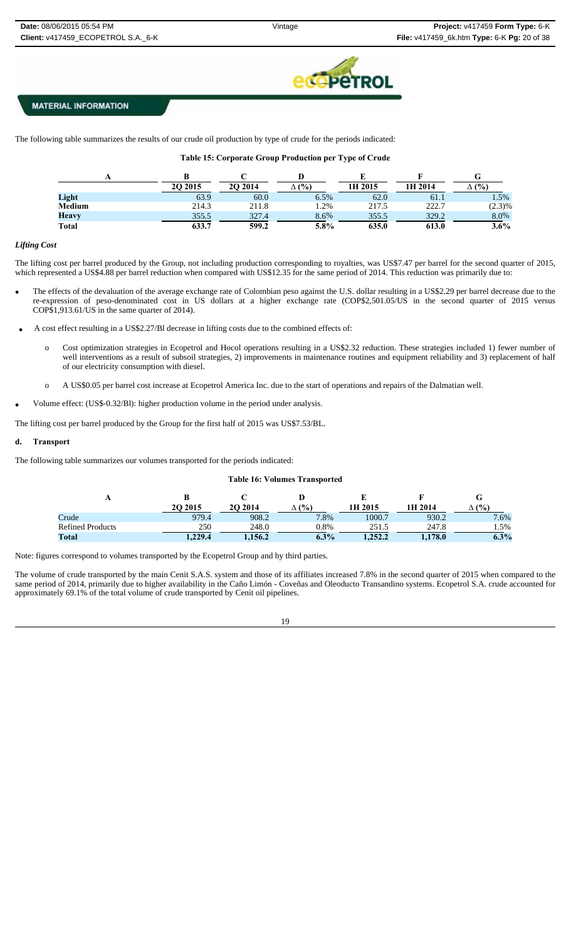

The following table summarizes the results of our crude oil production by type of crude for the periods indicated:

### **Table 15: Corporate Group Production per Type of Crude**

|               | 20 20 15 | <b>2O 2014</b> | (%)    | 1H 2015 | 1H 2014 | (%)     |
|---------------|----------|----------------|--------|---------|---------|---------|
| Light         | 63.9     | 60.0           | 6.5%   | 62.0    | 61.1    | 1.5%    |
| <b>Medium</b> | 214.3    | 211.8          | $.2\%$ | 217.5   | 222.7   | (2.3)%  |
| <b>Heavy</b>  | 355.5    | 327.4          | 8.6%   | 355.5   | 329.2   | 8.0%    |
| <b>Total</b>  | 633.7    | 599.2          | 5.8%   | 635.0   | 613.0   | $3.6\%$ |

#### *Lifting Cost*

The lifting cost per barrel produced by the Group, not including production corresponding to royalties, was US\$7.47 per barrel for the second quarter of 2015, which represented a US\$4.88 per barrel reduction when compared with US\$12.35 for the same period of 2014. This reduction was primarily due to:

- The effects of the devaluation of the average exchange rate of Colombian peso against the U.S. dollar resulting in a US\$2.29 per barrel decrease due to the re-expression of peso-denominated cost in US dollars at a higher exchange rate (COP\$2,501.05/US in the second quarter of 2015 versus COP\$1,913.61/US in the same quarter of 2014).
- A cost effect resulting in a US\$2.27/Bl decrease in lifting costs due to the combined effects of:
	- o Cost optimization strategies in Ecopetrol and Hocol operations resulting in a US\$2.32 reduction. These strategies included 1) fewer number of well interventions as a result of subsoil strategies, 2) improvements in maintenance routines and equipment reliability and 3) replacement of half of our electricity consumption with diesel.
	- o A US\$0.05 per barrel cost increase at Ecopetrol America Inc. due to the start of operations and repairs of the Dalmatian well.
- Volume effect: (US\$-0.32/Bl): higher production volume in the period under analysis.

The lifting cost per barrel produced by the Group for the first half of 2015 was US\$7.53/BL.

### **d. Transport**

The following table summarizes our volumes transported for the periods indicated:

### **Table 16: Volumes Transported**

| л                       |          |         |         |         |         |         |
|-------------------------|----------|---------|---------|---------|---------|---------|
|                         | 20 20 15 | 2O 2014 | (9/0)   | 1H 2015 | 1H 2014 | (%)     |
| Crude                   | 979.4    | 908.2   | 7.8%    | 1000.7  | 930.2   | 7.6%    |
| <b>Refined Products</b> | 250      | 248.0   | 0.8%    | 251.5   | 247.8   | 1.5%    |
| <b>Total</b>            | 1.229.4  | 1.156.2 | $6.3\%$ | 1,252.2 | 1,178.0 | $6.3\%$ |

Note: figures correspond to volumes transported by the Ecopetrol Group and by third parties.

The volume of crude transported by the main Cenit S.A.S. system and those of its affiliates increased 7.8% in the second quarter of 2015 when compared to the same period of 2014, primarily due to higher availability in the Caño Limón - Coveñas and Oleoducto Transandino systems. Ecopetrol S.A. crude accounted for approximately 69.1% of the total volume of crude transported by Cenit oil pipelines.

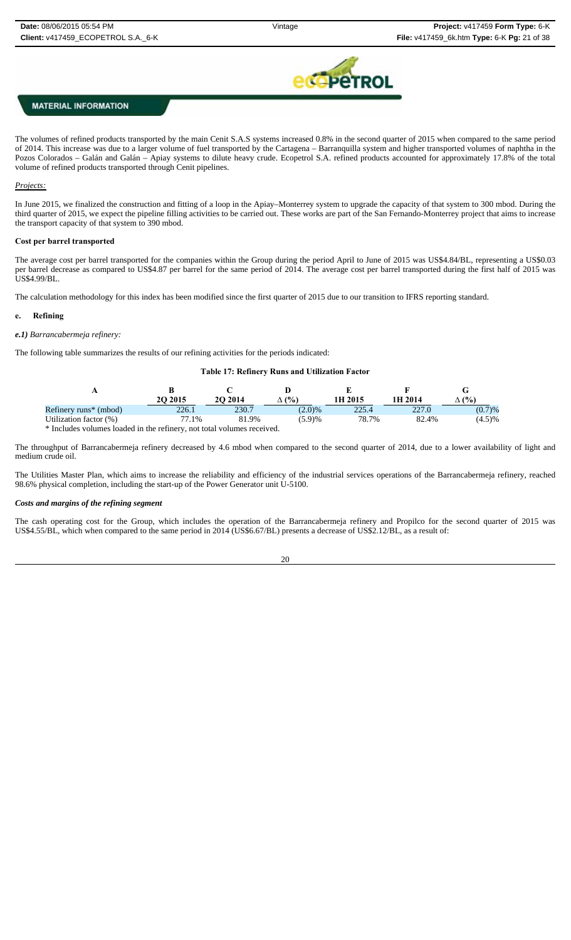

The volumes of refined products transported by the main Cenit S.A.S systems increased 0.8% in the second quarter of 2015 when compared to the same period of 2014. This increase was due to a larger volume of fuel transported by the Cartagena – Barranquilla system and higher transported volumes of naphtha in the Pozos Colorados – Galán and Galán – Apiay systems to dilute heavy crude. Ecopetrol S.A. refined products accounted for approximately 17.8% of the total volume of refined products transported through Cenit pipelines.

#### *Projects:*

In June 2015, we finalized the construction and fitting of a loop in the Apiay–Monterrey system to upgrade the capacity of that system to 300 mbod. During the third quarter of 2015, we expect the pipeline filling activities to be carried out. These works are part of the San Fernando-Monterrey project that aims to increase the transport capacity of that system to 390 mbod.

#### **Cost per barrel transported**

The average cost per barrel transported for the companies within the Group during the period April to June of 2015 was US\$4.84/BL, representing a US\$0.03 per barrel decrease as compared to US\$4.87 per barrel for the same period of 2014. The average cost per barrel transported during the first half of 2015 was US\$4.99/BL.

The calculation methodology for this index has been modified since the first quarter of 2015 due to our transition to IFRS reporting standard.

### **e. Refining**

#### *e.1) Barrancabermeja refinery:*

The following table summarizes the results of our refining activities for the periods indicated:

#### **Table 17: Refinery Runs and Utilization Factor**

|                                   | <b>20 20 15</b> | <b>2O 2014</b> | (%)       | 1H 2015 | 1H 2014 | (%)    |
|-----------------------------------|-----------------|----------------|-----------|---------|---------|--------|
| Refinery runs <sup>*</sup> (mbod) | 226.1           | 230.7          | $(2.0)\%$ | 225.4   | 227.0   | (0.7)% |
| Utilization factor (%)            | 77.1%           | 81.9%          | (5.9)%    | 78.7%   | 82.4%   | (4.5)% |
| .                                 |                 |                |           |         |         |        |

Includes volumes loaded in the refinery, not total volumes received.

The throughput of Barrancabermeja refinery decreased by 4.6 mbod when compared to the second quarter of 2014, due to a lower availability of light and medium crude oil.

The Utilities Master Plan, which aims to increase the reliability and efficiency of the industrial services operations of the Barrancabermeja refinery, reached 98.6% physical completion, including the start-up of the Power Generator unit U-5100.

#### *Costs and margins of the refining segment*

The cash operating cost for the Group, which includes the operation of the Barrancabermeja refinery and Propilco for the second quarter of 2015 was US\$4.55/BL, which when compared to the same period in 2014 (US\$6.67/BL) presents a decrease of US\$2.12/BL, as a result of:

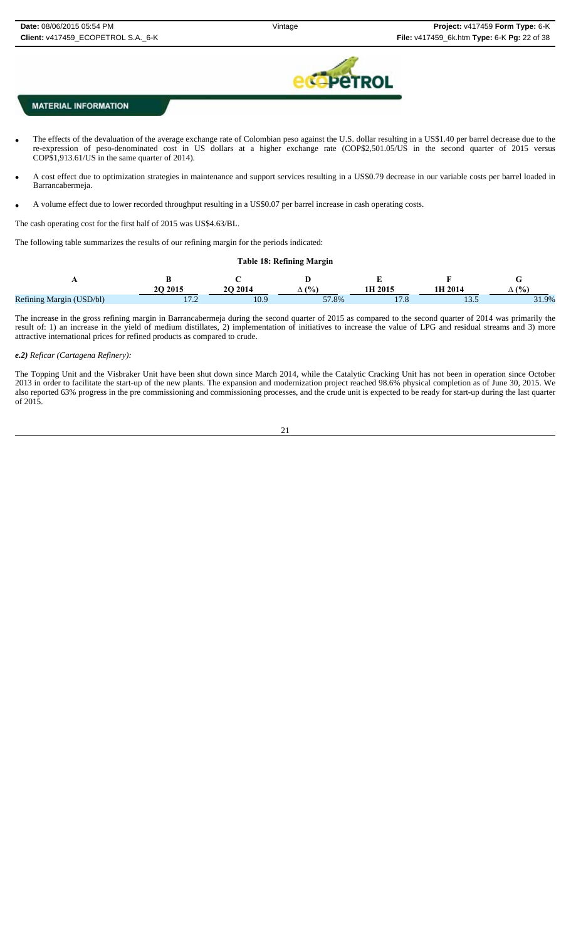

- The effects of the devaluation of the average exchange rate of Colombian peso against the U.S. dollar resulting in a US\$1.40 per barrel decrease due to the re-expression of peso-denominated cost in US dollars at a higher exchange rate (COP\$2,501.05/US in the second quarter of 2015 versus COP\$1,913.61/US in the same quarter of 2014).
- A cost effect due to optimization strategies in maintenance and support services resulting in a US\$0.79 decrease in our variable costs per barrel loaded in Barrancabermeja.
- A volume effect due to lower recorded throughput resulting in a US\$0.07 per barrel increase in cash operating costs.

The cash operating cost for the first half of 2015 was US\$4.63/BL.

The following table summarizes the results of our refining margin for the periods indicated:

#### **Table 18: Refining Margin**

|                          | 20 20 15                | 201. | $\frac{10}{6}$<br>′ ∆ | 1H 2015 | 1H 2014     |            |
|--------------------------|-------------------------|------|-----------------------|---------|-------------|------------|
| Refining Margin (USD/bl) | 17 <sub>0</sub><br>11.L | 10.9 | 57.8%                 | ه. ا    | $\sim$<br>. | ∸<br>31.9% |

The increase in the gross refining margin in Barrancabermeja during the second quarter of 2015 as compared to the second quarter of 2014 was primarily the result of: 1) an increase in the yield of medium distillates, 2) implementation of initiatives to increase the value of LPG and residual streams and 3) more attractive international prices for refined products as compared to crude.

#### *e.2) Reficar (Cartagena Refinery):*

The Topping Unit and the Visbraker Unit have been shut down since March 2014, while the Catalytic Cracking Unit has not been in operation since October 2013 in order to facilitate the start-up of the new plants. The expansion and modernization project reached 98.6% physical completion as of June 30, 2015. We also reported 63% progress in the pre commissioning and commissioning processes, and the crude unit is expected to be ready for start-up during the last quarter of 2015.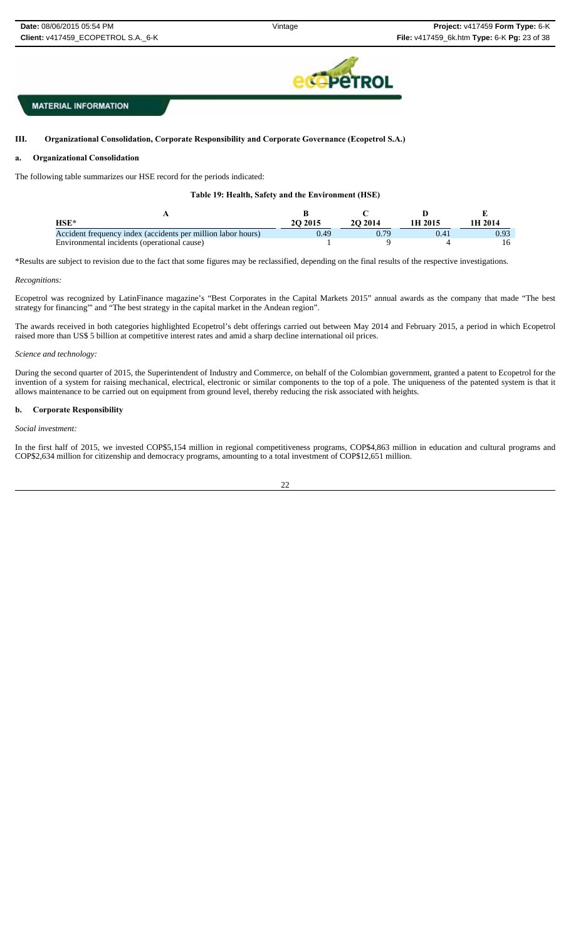**EPETROL** 

## **MATERIAL INFORMATION**

#### III. **III. Organizational Consolidation, Corporate Responsibility and Corporate Governance (Ecopetrol S.A.)**

### **a. Organizational Consolidation**

The following table summarizes our HSE record for the periods indicated:

### **Table 19: Health, Safety and the Environment (HSE)**

| $HSE*$                                                       | 20 2015 | 2014 | 1H 2015 | 1H 2014 |
|--------------------------------------------------------------|---------|------|---------|---------|
| Accident frequency index (accidents per million labor hours) | 40 (    | 0.79 |         |         |
| Environmental incidents (operational cause)                  |         |      |         |         |

\*Results are subject to revision due to the fact that some figures may be reclassified, depending on the final results of the respective investigations.

#### *Recognitions:*

Ecopetrol was recognized by LatinFinance magazine's "Best Corporates in the Capital Markets 2015" annual awards as the company that made "The best strategy for financing"' and "The best strategy in the capital market in the Andean region".

The awards received in both categories highlighted Ecopetrol's debt offerings carried out between May 2014 and February 2015, a period in which Ecopetrol raised more than US\$ 5 billion at competitive interest rates and amid a sharp decline international oil prices.

#### *Science and technology:*

During the second quarter of 2015, the Superintendent of Industry and Commerce, on behalf of the Colombian government, granted a patent to Ecopetrol for the invention of a system for raising mechanical, electrical, electronic or similar components to the top of a pole. The uniqueness of the patented system is that it allows maintenance to be carried out on equipment from ground level, thereby reducing the risk associated with heights.

### **b. Corporate Responsibility**

### *Social investment:*

In the first half of 2015, we invested COP\$5,154 million in regional competitiveness programs, COP\$4,863 million in education and cultural programs and COP\$2,634 million for citizenship and democracy programs, amounting to a total investment of COP\$12,651 million.

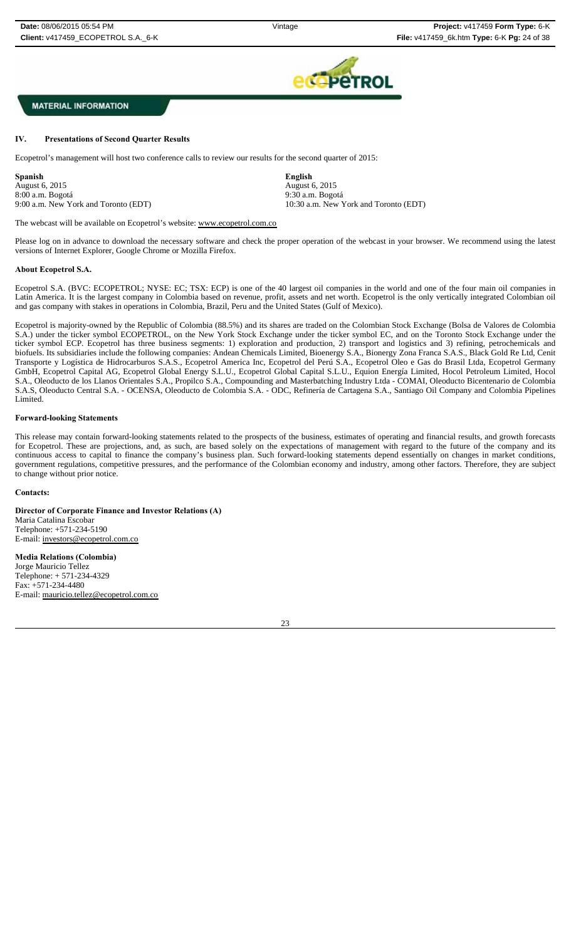

### **IV. Presentations of Second Quarter Results**

Ecopetrol's management will host two conference calls to review our results for the second quarter of 2015:

**Spanish English**  August 6, 2015 August 6, 2015 8:00 a.m. Bogotá 9:30 a.m. Bogotá 9:00 a.m. New York and Toronto (EDT) 10:30 a.m. New York and Toronto (EDT)

The webcast will be available on Ecopetrol's website: www.ecopetrol.com.co

Please log on in advance to download the necessary software and check the proper operation of the webcast in your browser. We recommend using the latest versions of Internet Explorer, Google Chrome or Mozilla Firefox.

### **About Ecopetrol S.A.**

Ecopetrol S.A. (BVC: ECOPETROL; NYSE: EC; TSX: ECP) is one of the 40 largest oil companies in the world and one of the four main oil companies in Latin America. It is the largest company in Colombia based on revenue, profit, assets and net worth. Ecopetrol is the only vertically integrated Colombian oil and gas company with stakes in operations in Colombia, Brazil, Peru and the United States (Gulf of Mexico).

Ecopetrol is majority-owned by the Republic of Colombia (88.5%) and its shares are traded on the Colombian Stock Exchange (Bolsa de Valores de Colombia S.A.) under the ticker symbol ECOPETROL, on the New York Stock Exchange under the ticker symbol EC, and on the Toronto Stock Exchange under the ticker symbol ECP. Ecopetrol has three business segments: 1) exploration and production, 2) transport and logistics and 3) refining, petrochemicals and biofuels. Its subsidiaries include the following companies: Andean Chemicals Limited, Bioenergy S.A., Bionergy Zona Franca S.A.S., Black Gold Re Ltd, Cenit Transporte y Logística de Hidrocarburos S.A.S., Ecopetrol America Inc, Ecopetrol del Perú S.A., Ecopetrol Oleo e Gas do Brasil Ltda, Ecopetrol Germany GmbH, Ecopetrol Capital AG, Ecopetrol Global Energy S.L.U., Ecopetrol Global Capital S.L.U., Equion Energía Limited, Hocol Petroleum Limited, Hocol S.A., Oleoducto de los Llanos Orientales S.A., Propilco S.A., Compounding and Masterbatching Industry Ltda - COMAI, Oleoducto Bicentenario de Colombia S.A.S, Oleoducto Central S.A. - OCENSA, Oleoducto de Colombia S.A. - ODC, Refinería de Cartagena S.A., Santiago Oil Company and Colombia Pipelines Limited.

### **Forward-looking Statements**

This release may contain forward-looking statements related to the prospects of the business, estimates of operating and financial results, and growth forecasts for Ecopetrol. These are projections, and, as such, are based solely on the expectations of management with regard to the future of the company and its continuous access to capital to finance the company's business plan. Such forward-looking statements depend essentially on changes in market conditions, government regulations, competitive pressures, and the performance of the Colombian economy and industry, among other factors. Therefore, they are subject to change without prior notice.

### **Contacts:**

**Director of Corporate Finance and Investor Relations (A)** Maria Catalina Escobar Telephone: +571-234-5190 E-mail: investors@ecopetrol.com.co

**Media Relations (Colombia)**  Jorge Mauricio Tellez Telephone: + 571-234-4329 Fax: +571-234-4480 E-mail: mauricio.tellez@ecopetrol.com.co

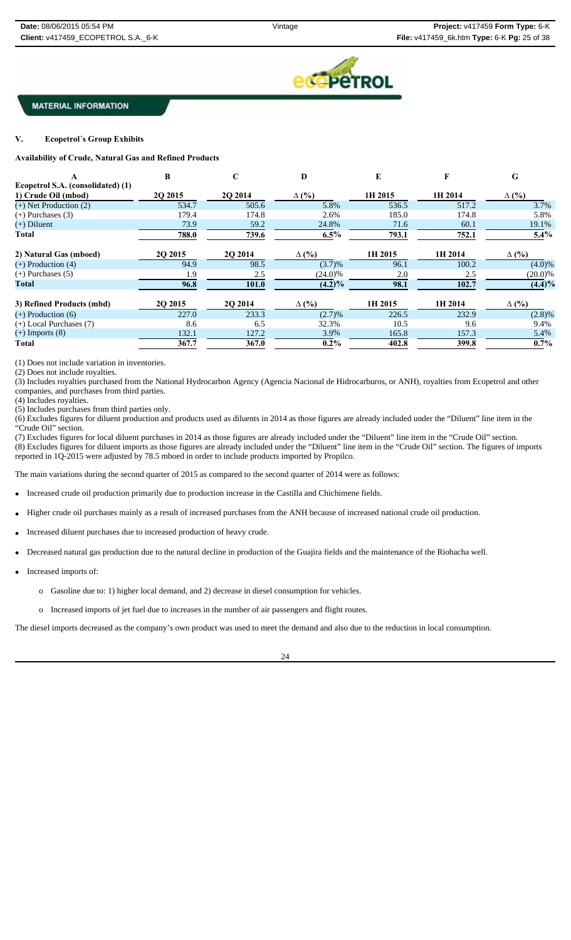

#### $\overline{\mathbf{V}}$ . **V. Ecopetrol´s Group Exhibits**

**Availability of Crude, Natural Gas and Refined Products** 

|                                   | R               | $\mathbf C$ | D            | E       | F       | G            |
|-----------------------------------|-----------------|-------------|--------------|---------|---------|--------------|
| Ecopetrol S.A. (consolidated) (1) |                 |             |              |         |         |              |
| 1) Crude Oil (mbod)               | <b>20 20 15</b> | 2O 2014     | $\Delta$ (%) | 1H 2015 | 1H 2014 | $\Delta$ (%) |
| $(+)$ Net Production $(2)$        | 534.7           | 505.6       | 5.8%         | 536.5   | 517.2   | 3.7%         |
| $(+)$ Purchases $(3)$             | 179.4           | 174.8       | 2.6%         | 185.0   | 174.8   | 5.8%         |
| $(+)$ Diluent                     | 73.9            | 59.2        | 24.8%        | 71.6    | 60.1    | 19.1%        |
| Total                             | 788.0           | 739.6       | $6.5\%$      | 793.1   | 752.1   | $5.4\%$      |
| 2) Natural Gas (mboed)            | 2Q 2015         | 2Q 2014     | $\Delta$ (%) | 1H 2015 | 1H 2014 | $\Delta$ (%) |
| $(+)$ Production $(4)$            | 94.9            | 98.5        | (3.7)%       | 96.1    | 100.2   | $(4.0)\%$    |
| $(+)$ Purchases $(5)$             | 1.9             | 2.5         | $(24.0)\%$   | 2.0     | 2.5     | $(20.0)\%$   |
| <b>Total</b>                      | 96.8            | 101.0       | $(4.2)\%$    | 98.1    | 102.7   | $(4.4)\%$    |
| 3) Refined Products (mbd)         | 20 20 15        | 2O 2014     | $\Delta$ (%) | 1H 2015 | 1H 2014 | $\Delta$ (%) |
| $(+)$ Production $(6)$            | 227.0           | 233.3       | (2.7)%       | 226.5   | 232.9   | $(2.8)\%$    |
| $(+)$ Local Purchases $(7)$       | 8.6             | 6.5         | 32.3%        | 10.5    | 9.6     | 9.4%         |
| $(+)$ Imports $(8)$               | 132.1           | 127.2       | 3.9%         | 165.8   | 157.3   | 5.4%         |
| Total                             | 367.7           | 367.0       | $0.2\%$      | 402.8   | 399.8   | $0.7\%$      |

(1) Does not include variation in inventories.

(2) Does not include royalties.

(3) Includes royalties purchased from the National Hydrocarbon Agency (Agencia Nacional de Hidrocarburos, or ANH), royalties from Ecopetrol and other companies, and purchases from third parties.

(4) Includes royalties.

(5) Includes purchases from third parties only.

(6) Excludes figures for diluent production and products used as diluents in 2014 as those figures are already included under the "Diluent" line item in the "Crude Oil" section.

(7) Excludes figures for local diluent purchases in 2014 as those figures are already included under the "Diluent" line item in the "Crude Oil" section. (8) Excludes figures for diluent imports as those figures are already included under the "Diluent" line item in the "Crude Oil" section. The figures of imports reported in 1Q-2015 were adjusted by 78.5 mboed in order to include products imported by Propilco.

The main variations during the second quarter of 2015 as compared to the second quarter of 2014 were as follows:

Increased crude oil production primarily due to production increase in the Castilla and Chichimene fields.

- Higher crude oil purchases mainly as a result of increased purchases from the ANH because of increased national crude oil production.
- Increased diluent purchases due to increased production of heavy crude.
- Decreased natural gas production due to the natural decline in production of the Guajira fields and the maintenance of the Riohacha well.
- Increased imports of:
	- o Gasoline due to: 1) higher local demand, and 2) decrease in diesel consumption for vehicles.
	- o Increased imports of jet fuel due to increases in the number of air passengers and flight routes.

The diesel imports decreased as the company's own product was used to meet the demand and also due to the reduction in local consumption.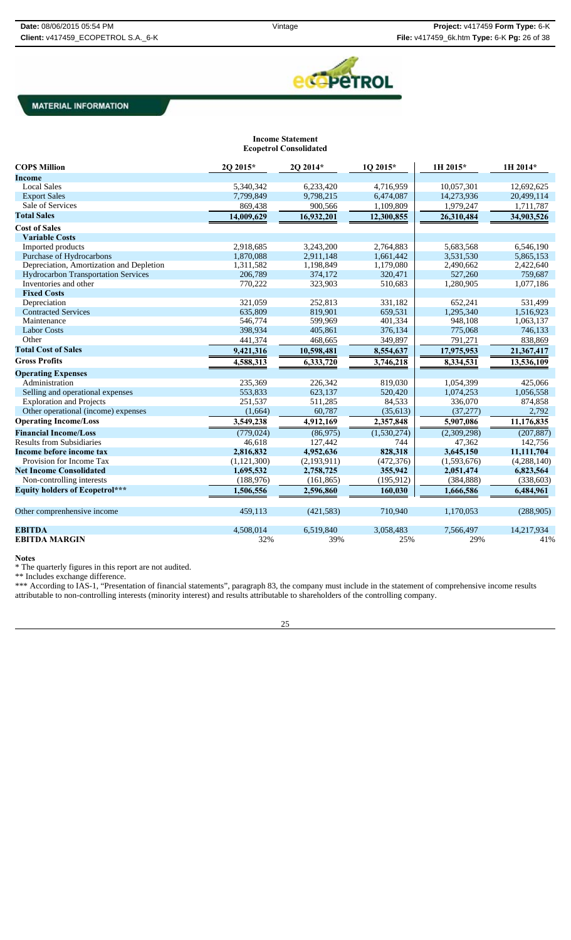

#### **Income Statement Ecopetrol Consolidated**

| <b>COPS Million</b>                        | 2Q 2015*      | 2Q 2014*    | 1Q 2015*    | 1H 2015*    | 1H 2014*    |
|--------------------------------------------|---------------|-------------|-------------|-------------|-------------|
| Income                                     |               |             |             |             |             |
| <b>Local Sales</b>                         | 5,340,342     | 6,233,420   | 4,716,959   | 10,057,301  | 12,692,625  |
| <b>Export Sales</b>                        | 7,799,849     | 9,798,215   | 6,474,087   | 14,273,936  | 20,499,114  |
| Sale of Services                           | 869,438       | 900,566     | 1,109,809   | 1,979,247   | 1,711,787   |
| <b>Total Sales</b>                         | 14,009,629    | 16,932,201  | 12,300,855  | 26,310,484  | 34,903,526  |
| <b>Cost of Sales</b>                       |               |             |             |             |             |
| <b>Variable Costs</b>                      |               |             |             |             |             |
| Imported products                          | 2.918.685     | 3,243,200   | 2.764.883   | 5,683,568   | 6,546,190   |
| Purchase of Hydrocarbons                   | 1,870,088     | 2,911,148   | 1,661,442   | 3,531,530   | 5,865,153   |
| Depreciation, Amortization and Depletion   | 1,311,582     | 1,198,849   | 1,179,080   | 2,490,662   | 2,422,640   |
| <b>Hydrocarbon Transportation Services</b> | 206,789       | 374,172     | 320,471     | 527,260     | 759,687     |
| Inventories and other                      | 770,222       | 323,903     | 510,683     | 1,280,905   | 1,077,186   |
| <b>Fixed Costs</b>                         |               |             |             |             |             |
| Depreciation                               | 321.059       | 252,813     | 331,182     | 652.241     | 531,499     |
| <b>Contracted Services</b>                 | 635,809       | 819,901     | 659,531     | 1,295,340   | 1,516,923   |
| Maintenance                                | 546,774       | 599,969     | 401,334     | 948,108     | 1,063,137   |
| <b>Labor Costs</b>                         | 398,934       | 405,861     | 376,134     | 775,068     | 746,133     |
| Other                                      | 441,374       | 468,665     | 349,897     | 791,271     | 838,869     |
| <b>Total Cost of Sales</b>                 | 9,421,316     | 10,598,481  | 8,554,637   | 17,975,953  | 21,367,417  |
| <b>Gross Profits</b>                       | 4,588,313     | 6,333,720   | 3,746,218   | 8,334,531   | 13,536,109  |
| <b>Operating Expenses</b>                  |               |             |             |             |             |
| Administration                             | 235,369       | 226,342     | 819,030     | 1,054,399   | 425,066     |
| Selling and operational expenses           | 553,833       | 623,137     | 520,420     | 1,074,253   | 1,056,558   |
| <b>Exploration and Projects</b>            | 251,537       | 511,285     | 84,533      | 336,070     | 874,858     |
| Other operational (income) expenses        | (1,664)       | 60,787      | (35, 613)   | (37, 277)   | 2,792       |
| <b>Operating Income/Loss</b>               | 3,549,238     | 4,912,169   | 2,357,848   | 5,907,086   | 11,176,835  |
| <b>Financial Income/Loss</b>               | (779, 024)    | (86,975)    | (1,530,274) | (2,309,298) | (207, 887)  |
| <b>Results from Subsidiaries</b>           | 46.618        | 127.442     | 744         | 47,362      | 142,756     |
| Income before income tax                   | 2,816,832     | 4,952,636   | 828,318     | 3,645,150   | 11,111,704  |
| Provision for Income Tax                   | (1, 121, 300) | (2,193,911) | (472, 376)  | (1,593,676) | (4,288,140) |
| <b>Net Income Consolidated</b>             | 1,695,532     | 2,758,725   | 355,942     | 2,051,474   | 6,823,564   |
| Non-controlling interests                  | (188, 976)    | (161, 865)  | (195, 912)  | (384, 888)  | (338, 603)  |
| <b>Equity holders of Ecopetrol***</b>      | 1,506,556     | 2,596,860   | 160,030     | 1,666,586   | 6,484,961   |
|                                            |               |             |             |             |             |
| Other comprenhensive income                | 459,113       | (421, 583)  | 710,940     | 1,170,053   | (288,905)   |
| <b>EBITDA</b>                              | 4,508,014     | 6,519,840   | 3,058,483   | 7,566,497   | 14,217,934  |
| <b>EBITDA MARGIN</b>                       | 32%           | 39%         | 25%         | 29%         | 41%         |

**Notes**

\* The quarterly figures in this report are not audited.

\*\* Includes exchange difference.

\*\*\* According to IAS-1, "Presentation of financial statements", paragraph 83, the company must include in the statement of comprehensive income results attributable to non-controlling interests (minority interest) and results attributable to shareholders of the controlling company.

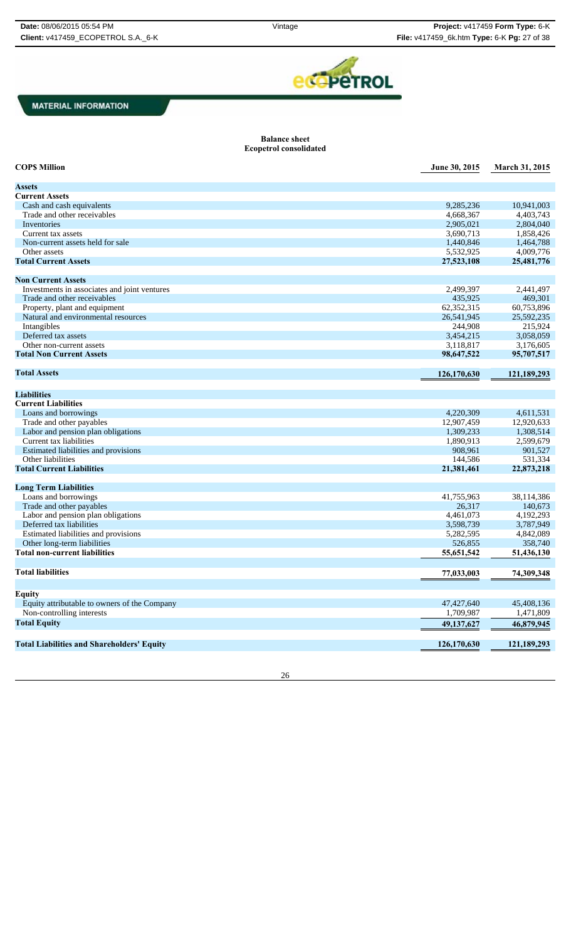

#### **Balance sheet Ecopetrol consolidated**

| <b>COPS Million</b>                               | June 30, 2015 | March 31, 2015 |
|---------------------------------------------------|---------------|----------------|
| <b>Assets</b>                                     |               |                |
| <b>Current Assets</b>                             |               |                |
| Cash and cash equivalents                         | 9,285,236     | 10,941,003     |
| Trade and other receivables                       | 4,668,367     | 4,403,743      |
| Inventories                                       | 2,905,021     | 2,804,040      |
| Current tax assets                                | 3,690,713     | 1,858,426      |
| Non-current assets held for sale                  | 1,440,846     | 1,464,788      |
| Other assets                                      | 5,532,925     | 4,009,776      |
| <b>Total Current Assets</b>                       | 27,523,108    | 25,481,776     |
|                                                   |               |                |
| <b>Non Current Assets</b>                         |               |                |
| Investments in associates and joint ventures      | 2,499,397     | 2,441,497      |
| Trade and other receivables                       | 435,925       | 469,301        |
| Property, plant and equipment                     | 62,352,315    | 60,753,896     |
| Natural and environmental resources               | 26,541,945    | 25,592,235     |
| Intangibles                                       | 244,908       | 215,924        |
| Deferred tax assets                               | 3,454,215     | 3,058,059      |
| Other non-current assets                          | 3,118,817     | 3.176.605      |
| <b>Total Non Current Assets</b>                   | 98,647,522    | 95,707,517     |
| <b>Total Assets</b>                               | 126,170,630   | 121,189,293    |
|                                                   |               |                |
| <b>Liabilities</b>                                |               |                |
| <b>Current Liabilities</b>                        |               |                |
| Loans and borrowings                              | 4,220,309     | 4,611,531      |
| Trade and other payables                          | 12,907,459    | 12,920,633     |
| Labor and pension plan obligations                | 1,309,233     | 1,308,514      |
| Current tax liabilities                           | 1,890,913     | 2,599,679      |
| Estimated liabilities and provisions              | 908,961       | 901,527        |
| Other liabilities                                 | 144,586       | 531,334        |
| <b>Total Current Liabilities</b>                  | 21,381,461    | 22,873,218     |
|                                                   |               |                |
| <b>Long Term Liabilities</b>                      |               |                |
| Loans and borrowings                              | 41,755,963    | 38,114,386     |
| Trade and other payables                          | 26,317        | 140,673        |
| Labor and pension plan obligations                | 4,461,073     | 4,192,293      |
| Deferred tax liabilities                          | 3,598,739     | 3,787,949      |
| Estimated liabilities and provisions              | 5,282,595     | 4,842,089      |
| Other long-term liabilities                       | 526,855       | 358,740        |
| <b>Total non-current liabilities</b>              | 55,651,542    | 51,436,130     |
| <b>Total liabilities</b>                          | 77,033,003    | 74,309,348     |
|                                                   |               |                |
| <b>Equity</b>                                     |               |                |
| Equity attributable to owners of the Company      | 47,427,640    | 45,408,136     |
| Non-controlling interests                         | 1,709,987     | 1,471,809      |
| <b>Total Equity</b>                               | 49,137,627    | 46,879,945     |
|                                                   |               |                |
| <b>Total Liabilities and Shareholders' Equity</b> | 126,170,630   | 121,189,293    |
|                                                   |               |                |

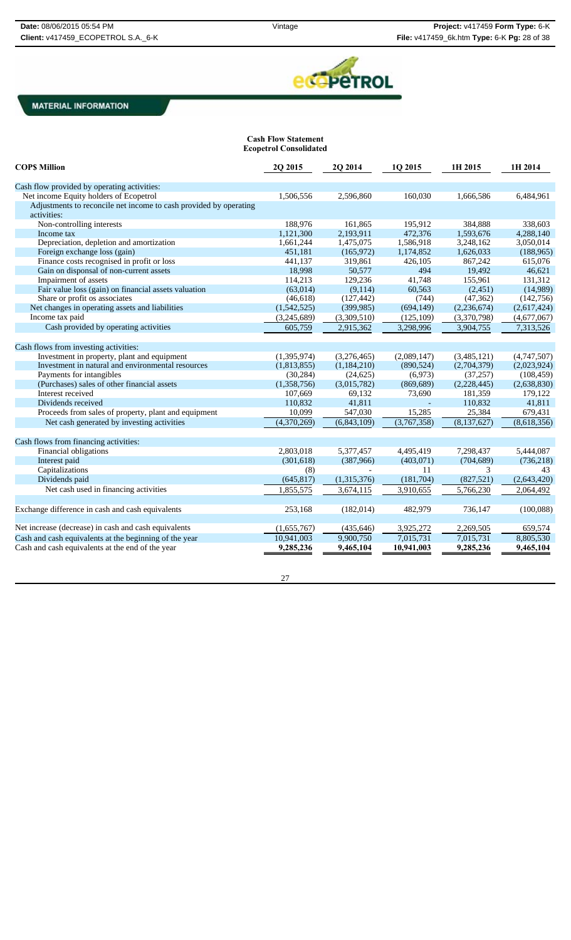

**Cash Flow Statement Ecopetrol Consolidated**

| <b>COPS Million</b>                                               | 2Q 2015     | 2Q 2014     | 1Q 2015     | 1H 2015       | 1H 2014     |
|-------------------------------------------------------------------|-------------|-------------|-------------|---------------|-------------|
| Cash flow provided by operating activities:                       |             |             |             |               |             |
| Net income Equity holders of Ecopetrol                            | 1,506,556   | 2,596,860   | 160,030     | 1,666,586     | 6,484,961   |
| Adjustments to reconcile net income to cash provided by operating |             |             |             |               |             |
| activities:                                                       |             |             |             |               |             |
| Non-controlling interests                                         | 188,976     | 161,865     | 195,912     | 384,888       | 338,603     |
| Income tax                                                        | 1,121,300   | 2,193,911   | 472,376     | 1,593,676     | 4,288,140   |
| Depreciation, depletion and amortization                          | 1,661,244   | 1,475,075   | 1,586,918   | 3,248,162     | 3,050,014   |
| Foreign exchange loss (gain)                                      | 451,181     | (165, 972)  | 1,174,852   | 1,626,033     | (188, 965)  |
| Finance costs recognised in profit or loss                        | 441,137     | 319,861     | 426,105     | 867,242       | 615,076     |
| Gain on disponsal of non-current assets                           | 18,998      | 50,577      | 494         | 19,492        | 46,621      |
| Impairment of assets                                              | 114,213     | 129,236     | 41,748      | 155,961       | 131,312     |
| Fair value loss (gain) on financial assets valuation              | (63, 014)   | (9,114)     | 60,563      | (2,451)       | (14,989)    |
| Share or profit os associates                                     | (46, 618)   | (127, 442)  | (744)       | (47, 362)     | (142,756)   |
| Net changes in operating assets and liabilities                   | (1,542,525) | (399, 985)  | (694, 149)  | (2,236,674)   | (2,617,424) |
| Income tax paid                                                   | (3,245,689) | (3,309,510) | (125,109)   | (3,370,798)   | (4,677,067) |
| Cash provided by operating activities                             | 605,759     | 2,915,362   | 3,298,996   | 3,904,755     | 7,313,526   |
|                                                                   |             |             |             |               |             |
| Cash flows from investing activities:                             |             |             |             |               |             |
| Investment in property, plant and equipment                       | (1,395,974) | (3,276,465) | (2,089,147) | (3,485,121)   | (4,747,507) |
| Investment in natural and environmental resources                 | (1,813,855) | (1,184,210) | (890, 524)  | (2,704,379)   | (2,023,924) |
| Payments for intangibles                                          | (30, 284)   | (24, 625)   | (6,973)     | (37, 257)     | (108, 459)  |
| (Purchases) sales of other financial assets                       | (1,358,756) | (3,015,782) | (869, 689)  | (2,228,445)   | (2,638,830) |
| Interest received                                                 | 107,669     | 69,132      | 73,690      | 181,359       | 179,122     |
| Dividends received                                                | 110,832     | 41,811      |             | 110,832       | 41,811      |
| Proceeds from sales of property, plant and equipment              | 10,099      | 547,030     | 15,285      | 25,384        | 679,431     |
| Net cash generated by investing activities                        | (4,370,269) | (6,843,109) | (3,767,358) | (8, 137, 627) | (8,618,356) |
| Cash flows from financing activities:                             |             |             |             |               |             |
| Financial obligations                                             | 2,803,018   | 5,377,457   | 4,495,419   | 7,298,437     | 5,444,087   |
| Interest paid                                                     | (301, 618)  | (387,966)   | (403,071)   | (704, 689)    | (736, 218)  |
| Capitalizations                                                   | (8)         |             | 11          | 3             | 43          |
| Dividends paid                                                    | (645, 817)  | (1,315,376) | (181,704)   | (827, 521)    | (2,643,420) |
| Net cash used in financing activities                             | 1,855,575   | 3,674,115   | 3,910,655   | 5,766,230     | 2,064,492   |
|                                                                   |             |             |             |               |             |
| Exchange difference in cash and cash equivalents                  | 253,168     | (182,014)   | 482,979     | 736,147       | (100,088)   |
| Net increase (decrease) in cash and cash equivalents              | (1,655,767) | (435, 646)  | 3,925,272   | 2,269,505     | 659,574     |
| Cash and cash equivalents at the beginning of the year            | 10.941.003  | 9.900.750   | 7.015.731   | 7,015,731     | 8,805,530   |
| Cash and cash equivalents at the end of the year                  | 9,285,236   | 9,465,104   | 10,941,003  | 9,285,236     | 9,465,104   |
|                                                                   |             |             |             |               |             |

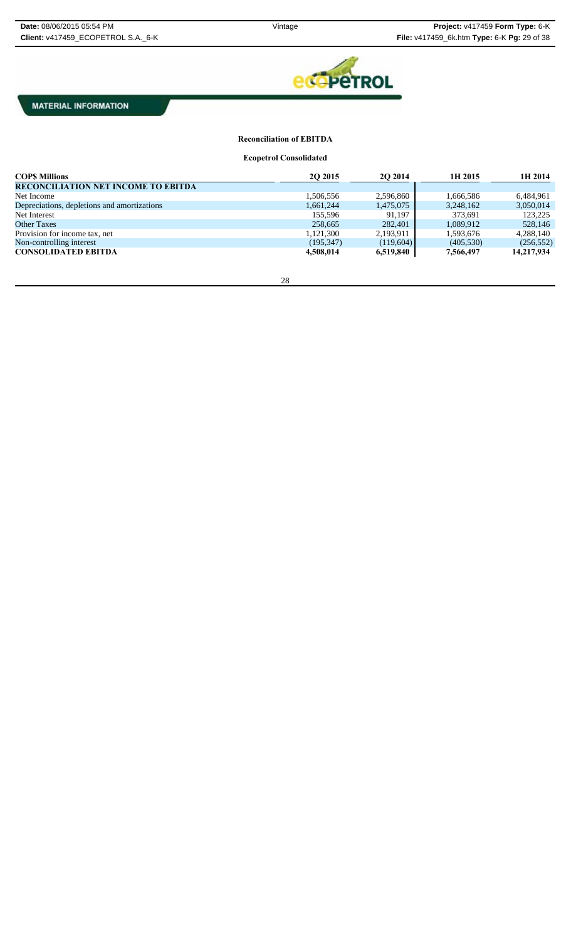

# **Reconciliation of EBITDA**

**Ecopetrol Consolidated**

| <b>COPS Millions</b>                        | 2Q 2015    | 2O 2014   | 1H 2015    | 1H 2014    |
|---------------------------------------------|------------|-----------|------------|------------|
| <b>RECONCILIATION NET INCOME TO EBITDA</b>  |            |           |            |            |
| Net Income                                  | 1,506,556  | 2,596,860 | 1,666,586  | 6,484,961  |
| Depreciations, depletions and amortizations | 1,661,244  | 1,475,075 | 3,248,162  | 3,050,014  |
| Net Interest                                | 155.596    | 91,197    | 373,691    | 123,225    |
| <b>Other Taxes</b>                          | 258,665    | 282,401   | 1.089.912  | 528,146    |
| Provision for income tax, net               | 1.121.300  | 2,193,911 | 1,593,676  | 4,288,140  |
| Non-controlling interest                    | (195, 347) | (119,604) | (405, 530) | (256, 552) |
| <b>CONSOLIDATED EBITDA</b>                  | 4,508,014  | 6,519,840 | 7,566,497  | 14,217,934 |

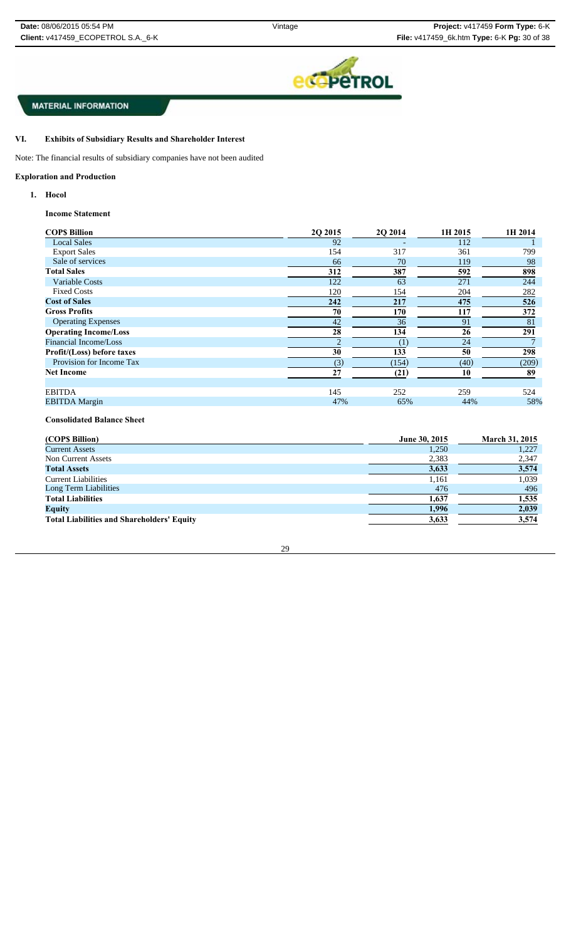

#### VI. **Exhibits of Subsidiary Results and Shareholder Interest**

Note: The financial results of subsidiary companies have not been audited

### **Exploration and Production**

**1. Hocol**

### **Income Statement**

| <b>COPS Billion</b>          | 2Q 2015 | 2Q 2014 | 1H 2015 | 1H 2014 |
|------------------------------|---------|---------|---------|---------|
| <b>Local Sales</b>           | 92      |         | 112     |         |
| <b>Export Sales</b>          | 154     | 317     | 361     | 799     |
| Sale of services             | 66      | 70      | 119     | 98      |
| <b>Total Sales</b>           | 312     | 387     | 592     | 898     |
| <b>Variable Costs</b>        | 122     | 63      | 271     | 244     |
| <b>Fixed Costs</b>           | 120     | 154     | 204     | 282     |
| <b>Cost of Sales</b>         | 242     | 217     | 475     | 526     |
| <b>Gross Profits</b>         | 70      | 170     | 117     | 372     |
| <b>Operating Expenses</b>    | 42      | 36      | 91      | 81      |
| <b>Operating Income/Loss</b> | 28      | 134     | 26      | 291     |
| Financial Income/Loss        |         | (1)     | 24      |         |
| Profit/(Loss) before taxes   | 30      | 133     | 50      | 298     |
| Provision for Income Tax     | (3)     | (154)   | (40)    | (209)   |
| <b>Net Income</b>            | 27      | (21)    | 10      | 89      |
|                              |         |         |         |         |
| <b>EBITDA</b>                | 145     | 252     | 259     | 524     |
| <b>EBITDA</b> Margin         | 47%     | 65%     | 44%     | 58%     |

## **Consolidated Balance Sheet**

| (COPS Billion)                                    | June 30, 2015 | <b>March 31, 2015</b> |
|---------------------------------------------------|---------------|-----------------------|
| <b>Current Assets</b>                             | 1,250         | 1,227                 |
| Non Current Assets                                | 2,383         | 2,347                 |
| <b>Total Assets</b>                               | 3,633         | 3,574                 |
| <b>Current Liabilities</b>                        | 1,161         | 1.039                 |
| Long Term Liabilities                             | 476           | 496                   |
| <b>Total Liabilities</b>                          | 1,637         | 1,535                 |
| <b>Equity</b>                                     | 1,996         | 2,039                 |
| <b>Total Liabilities and Shareholders' Equity</b> | 3,633         | 3,574                 |

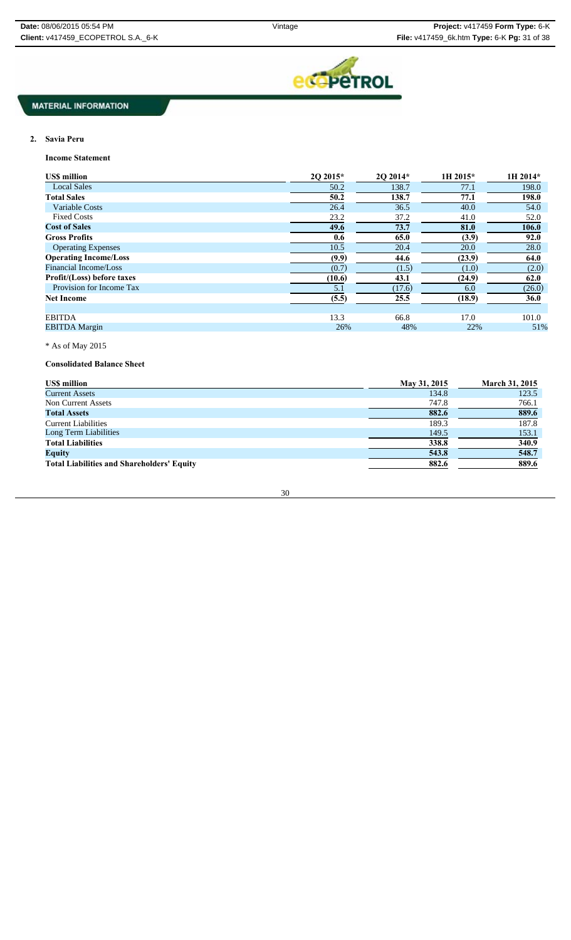

### **2. Savia Peru**

**Income Statement**

| <b>USS million</b>           | 20 2015* | 2O 2014* | 1H 2015* | 1H 2014*    |
|------------------------------|----------|----------|----------|-------------|
| <b>Local Sales</b>           | 50.2     | 138.7    | 77.1     | 198.0       |
| <b>Total Sales</b>           | 50.2     | 138.7    | 77.1     | 198.0       |
| <b>Variable Costs</b>        | 26.4     | 36.5     | 40.0     | 54.0        |
| <b>Fixed Costs</b>           | 23.2     | 37.2     | 41.0     | 52.0        |
| <b>Cost of Sales</b>         | 49.6     | 73.7     | 81.0     | 106.0       |
| <b>Gross Profits</b>         | 0.6      | 65.0     | (3.9)    | 92.0        |
| <b>Operating Expenses</b>    | 10.5     | 20.4     | 20.0     | 28.0        |
| <b>Operating Income/Loss</b> | (9.9)    | 44.6     | (23.9)   | 64.0        |
| Financial Income/Loss        | (0.7)    | (1.5)    | (1.0)    | (2.0)       |
| Profit/(Loss) before taxes   | (10.6)   | 43.1     | (24.9)   | 62.0        |
| Provision for Income Tax     | 5.1      | (17.6)   | 6.0      | (26.0)      |
| <b>Net Income</b>            | (5.5)    | 25.5     | (18.9)   | <b>36.0</b> |
|                              |          |          |          |             |
| <b>EBITDA</b>                | 13.3     | 66.8     | 17.0     | 101.0       |
| <b>EBITDA</b> Margin         | 26%      | 48%      | 22%      | 51%         |

## \* As of May 2015

**Consolidated Balance Sheet**

| <b>USS million</b>                                | May 31, 2015 | <b>March 31, 2015</b> |
|---------------------------------------------------|--------------|-----------------------|
| <b>Current Assets</b>                             | 134.8        | 123.5                 |
| Non Current Assets                                | 747.8        | 766.1                 |
| <b>Total Assets</b>                               | 882.6        | 889.6                 |
| <b>Current Liabilities</b>                        | 189.3        | 187.8                 |
| Long Term Liabilities                             | 149.5        | 153.1                 |
| <b>Total Liabilities</b>                          | 338.8        | 340.9                 |
| <b>Equity</b>                                     | 543.8        | 548.7                 |
| <b>Total Liabilities and Shareholders' Equity</b> | 882.6        | 889.6                 |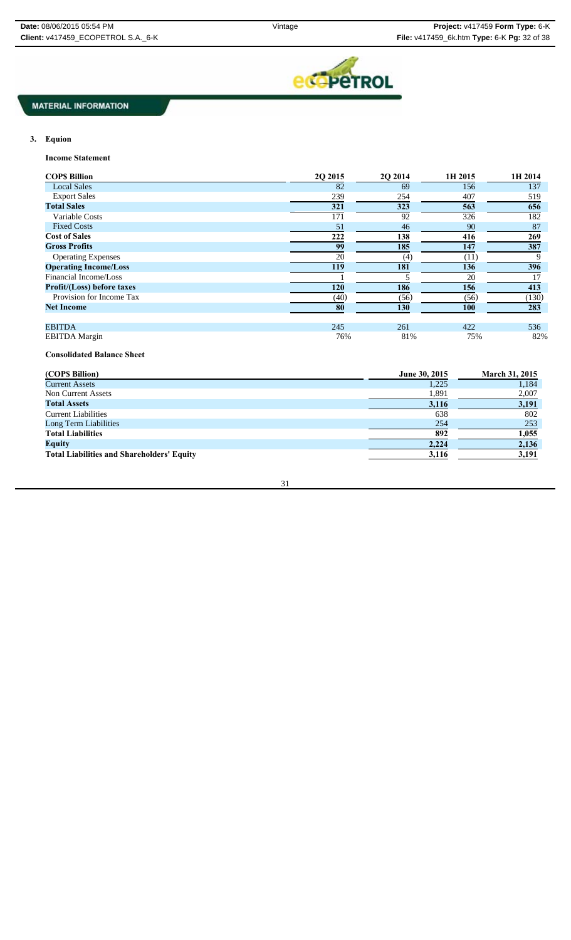

# **3. Equion**

**Income Statement**

| <b>COPS Billion</b>          | 2Q 2015 | 2Q 2014 | 1H 2015    | 1H 2014 |
|------------------------------|---------|---------|------------|---------|
| <b>Local Sales</b>           | 82      | 69      | 156        | 137     |
| <b>Export Sales</b>          | 239     | 254     | 407        | 519     |
| <b>Total Sales</b>           | 321     | 323     | 563        | 656     |
| Variable Costs               | 171     | 92      | 326        | 182     |
| <b>Fixed Costs</b>           | 51      | 46      | 90         | 87      |
| <b>Cost of Sales</b>         | 222     | 138     | 416        | 269     |
| <b>Gross Profits</b>         | 99      | 185     | 147        | 387     |
| <b>Operating Expenses</b>    | 20      | (4)     | (11)       |         |
| <b>Operating Income/Loss</b> | 119     | 181     | 136        | 396     |
| Financial Income/Loss        |         |         | 20         | 17      |
| Profit/(Loss) before taxes   | 120     | 186     | 156        | 413     |
| Provision for Income Tax     | (40)    | (56)    | (56)       | (130)   |
| <b>Net Income</b>            | 80      | 130     | <b>100</b> | 283     |
| <b>EBITDA</b>                | 245     | 261     | 422        | 536     |
| <b>EBITDA</b> Margin         | 76%     | 81%     | 75%        | 82%     |

### **Consolidated Balance Sheet**

| (COP\$ Billion)                                   | June 30, 2015 | <b>March 31, 2015</b> |
|---------------------------------------------------|---------------|-----------------------|
| <b>Current Assets</b>                             | 1,225         | 1.184                 |
| Non Current Assets                                | 1,891         | 2,007                 |
| <b>Total Assets</b>                               | 3,116         | 3,191                 |
| <b>Current Liabilities</b>                        | 638           | 802                   |
| Long Term Liabilities                             | 254           | 253                   |
| <b>Total Liabilities</b>                          | 892           | 1,055                 |
| <b>Equity</b>                                     | 2,224         | 2,136                 |
| <b>Total Liabilities and Shareholders' Equity</b> | 3,116         | 3,191                 |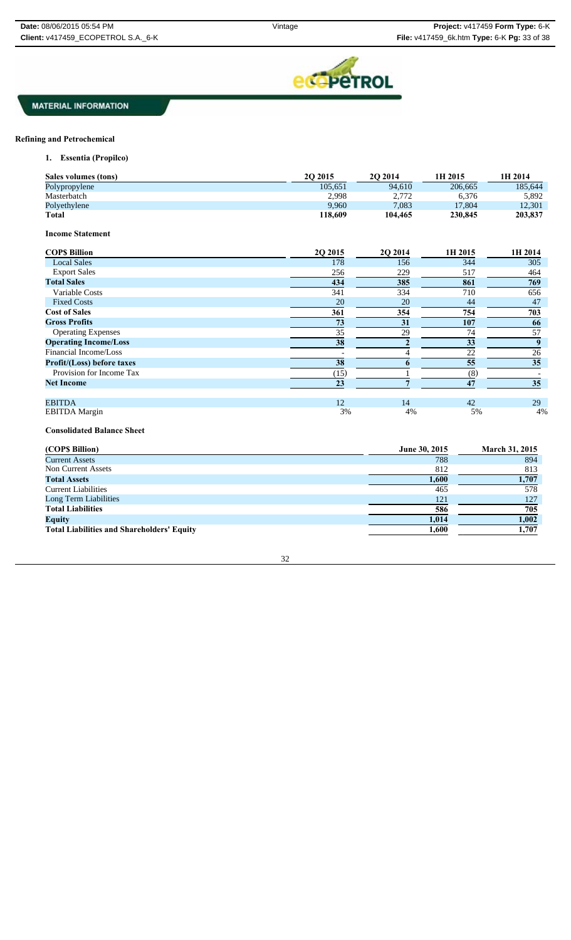

### **Refining and Petrochemical**

**1. Essentia (Propilco)**

| Sales volumes (tons)    | <b>20 2015</b> | <b>20 2014</b> | 1H 2015 | 1H 2014 |
|-------------------------|----------------|----------------|---------|---------|
| Polypropylene           | 105.651        | 94,610         | 206,665 | 185,644 |
| Masterbatch             | 2,998          | 2,772          | 6,376   | 5,892   |
| Polyethylene            | 9.960          | 7.083          | 17.804  | 12,301  |
| <b>Total</b>            | 118,609        | 104,465        | 230,845 | 203,837 |
| <b>Income Statement</b> |                |                |         |         |

| <b>COPS Billion</b>               | 2Q 2015 | 2Q 2014 | 1H 2015 | 1H 2014 |
|-----------------------------------|---------|---------|---------|---------|
| <b>Local Sales</b>                | 178     | 156     | 344     | 305     |
| <b>Export Sales</b>               | 256     | 229     | 517     | 464     |
| <b>Total Sales</b>                | 434     | 385     | 861     | 769     |
| Variable Costs                    | 341     | 334     | 710     | 656     |
| <b>Fixed Costs</b>                | 20      | 20      | 44      | 47      |
| <b>Cost of Sales</b>              | 361     | 354     | 754     | 703     |
| <b>Gross Profits</b>              | 73      | 31      | 107     | 66      |
| <b>Operating Expenses</b>         | 35      | 29      | 74      | 57      |
| <b>Operating Income/Loss</b>      | 38      |         | 33      |         |
| Financial Income/Loss             |         |         | 22      | 26      |
| <b>Profit/(Loss) before taxes</b> | 38      |         | 55      | 35      |
| Provision for Income Tax          | (15)    |         | (8)     |         |
| <b>Net Income</b>                 | 23      |         | 47      | 35      |
| <b>EBITDA</b>                     | 12      | 14      | 42      | 29      |
| <b>EBITDA</b> Margin              | 3%      | 4%      | 5%      | 4%      |

### **Consolidated Balance Sheet**

| (COP\$ Billion)                                   | June 30, 2015 | <b>March 31, 2015</b> |
|---------------------------------------------------|---------------|-----------------------|
| <b>Current Assets</b>                             | 788           | 894                   |
| Non Current Assets                                | 812           | 813                   |
| <b>Total Assets</b>                               | 1,600         | 1,707                 |
| <b>Current Liabilities</b>                        | 465           | 578                   |
| Long Term Liabilities                             | 121           | 127                   |
| <b>Total Liabilities</b>                          | 586           | 705                   |
| <b>Equity</b>                                     | 1,014         | 1,002                 |
| <b>Total Liabilities and Shareholders' Equity</b> | 1,600         | 1,707                 |

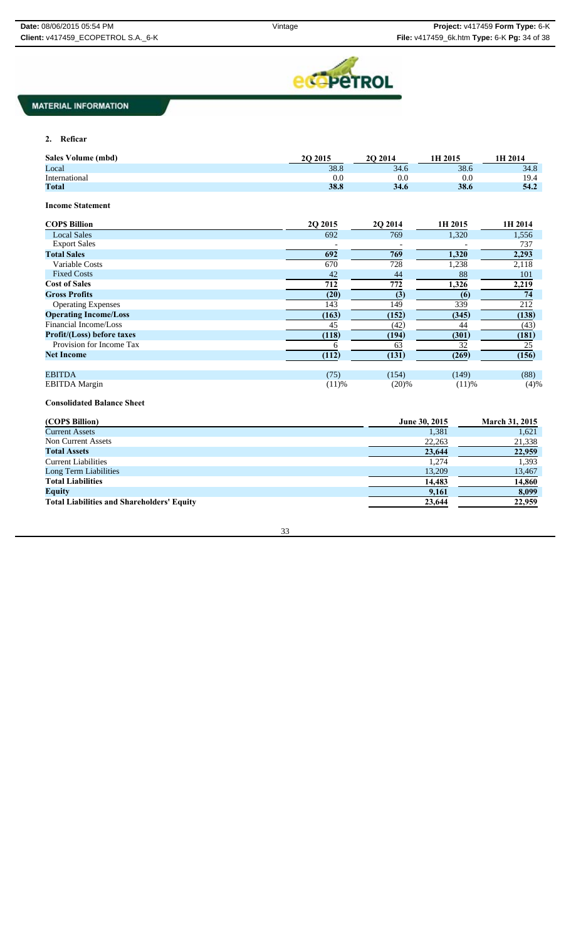

### **2. Reficar**

| <b>Sales Volume (mbd)</b>         | 2Q 2015  | 2O 2014 | 1H 2015       | 1H 2014               |
|-----------------------------------|----------|---------|---------------|-----------------------|
| Local                             | 38.8     | 34.6    | 38.6          | 34.8                  |
| International                     | 0.0      | 0.0     | 0.0           | 19.4                  |
| <b>Total</b>                      | 38.8     | 34.6    | 38.6          | 54.2                  |
| <b>Income Statement</b>           |          |         |               |                       |
| <b>COPS Billion</b>               | 2Q 2015  | 2Q 2014 | 1H 2015       | 1H 2014               |
| <b>Local Sales</b>                | 692      | 769     | 1,320         | 1,556                 |
| <b>Export Sales</b>               |          |         |               | 737                   |
| <b>Total Sales</b>                | 692      | 769     | 1,320         | 2,293                 |
| Variable Costs                    | 670      | 728     | 1,238         | 2,118                 |
| <b>Fixed Costs</b>                | 42       | 44      | 88            | 101                   |
| <b>Cost of Sales</b>              | 712      | 772     | 1,326         | 2,219                 |
| <b>Gross Profits</b>              | (20)     | (3)     | (6)           | 74                    |
| <b>Operating Expenses</b>         | 143      | 149     | 339           | 212                   |
| <b>Operating Income/Loss</b>      | (163)    | (152)   | (345)         | (138)                 |
| Financial Income/Loss             | 45       | (42)    | 44            | (43)                  |
| <b>Profit/(Loss)</b> before taxes | (118)    | (194)   | (301)         | (181)                 |
| Provision for Income Tax          | 6        | 63      | 32            | 25                    |
| <b>Net Income</b>                 | (112)    | (131)   | (269)         | (156)                 |
| <b>EBITDA</b>                     | (75)     | (154)   | (149)         | (88)                  |
| <b>EBITDA</b> Margin              | $(11)$ % | (20)%   | $(11)$ %      | (4)%                  |
| <b>Consolidated Balance Sheet</b> |          |         |               |                       |
| (COPS Billion)                    |          |         | June 30, 2015 | <b>March 31, 2015</b> |
| <b>Current Assets</b>             |          |         | 1.381         | 1,621                 |
| Non Current Assets                |          |         | 22.263        | 21 338                |

| Non Current Assets                                | 22,263 | 21,338 |
|---------------------------------------------------|--------|--------|
| <b>Total Assets</b>                               | 23,644 | 22,959 |
| <b>Current Liabilities</b>                        | 1,274  | 1,393  |
| Long Term Liabilities                             | 13,209 | 13,467 |
| <b>Total Liabilities</b>                          | 14.483 | 14,860 |
| <b>Equity</b>                                     | 9,161  | 8,099  |
| <b>Total Liabilities and Shareholders' Equity</b> | 23,644 | 22,959 |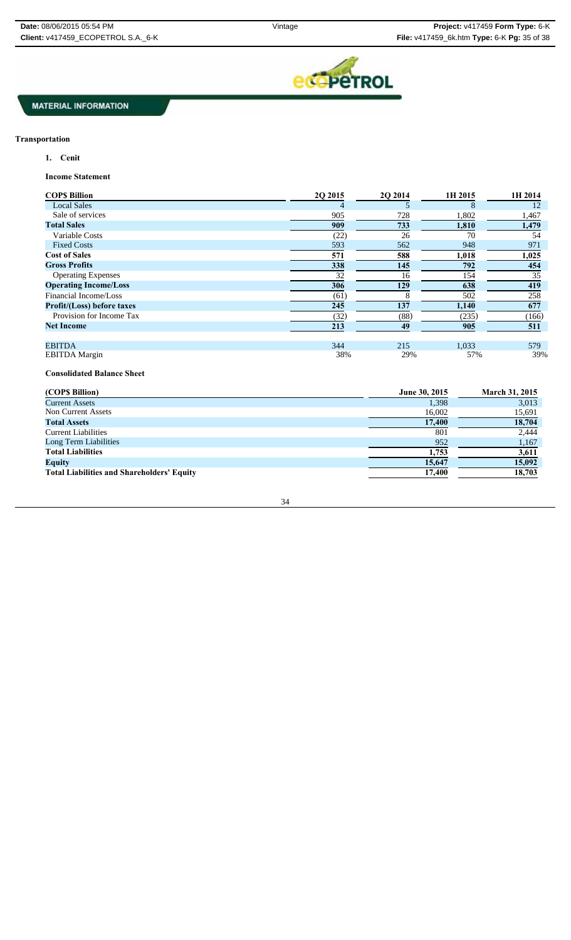

### **Transportation**

**1. Cenit**

**Income Statement**

| <b>COPS Billion</b>          | 2O 2015 | 2O 2014 | 1H 2015 | 1H 2014 |
|------------------------------|---------|---------|---------|---------|
| <b>Local Sales</b>           | 4       |         | 8       | 12      |
| Sale of services             | 905     | 728     | 1,802   | 1,467   |
| <b>Total Sales</b>           | 909     | 733     | 1,810   | 1,479   |
| Variable Costs               | (22)    | 26      | 70      | 54      |
| <b>Fixed Costs</b>           | 593     | 562     | 948     | 971     |
| <b>Cost of Sales</b>         | 571     | 588     | 1,018   | 1,025   |
| <b>Gross Profits</b>         | 338     | 145     | 792     | 454     |
| <b>Operating Expenses</b>    | 32      | 16      | 154     | 35      |
| <b>Operating Income/Loss</b> | 306     | 129     | 638     | 419     |
| Financial Income/Loss        | (61)    |         | 502     | 258     |
| Profit/(Loss) before taxes   | 245     | 137     | 1,140   | 677     |
| Provision for Income Tax     | (32)    | (88)    | (235)   | (166)   |
| <b>Net Income</b>            | 213     | 49      | 905     | 511     |
| <b>EBITDA</b>                | 344     | 215     | 1.033   | 579     |
| <b>EBITDA</b> Margin         | 38%     | 29%     | 57%     | 39%     |

**Consolidated Balance Sheet**

| (COP\$ Billion)                                   | June 30, 2015 | <b>March 31, 2015</b> |
|---------------------------------------------------|---------------|-----------------------|
| <b>Current Assets</b>                             | 1,398         | 3,013                 |
| <b>Non Current Assets</b>                         | 16,002        | 15,691                |
| <b>Total Assets</b>                               | 17,400        | 18,704                |
| <b>Current Liabilities</b>                        | 801           | 2.444                 |
| Long Term Liabilities                             | 952           | 1,167                 |
| <b>Total Liabilities</b>                          | 1,753         | 3,611                 |
| <b>Equity</b>                                     | 15,647        | 15,092                |
| <b>Total Liabilities and Shareholders' Equity</b> | 17,400        | 18,703                |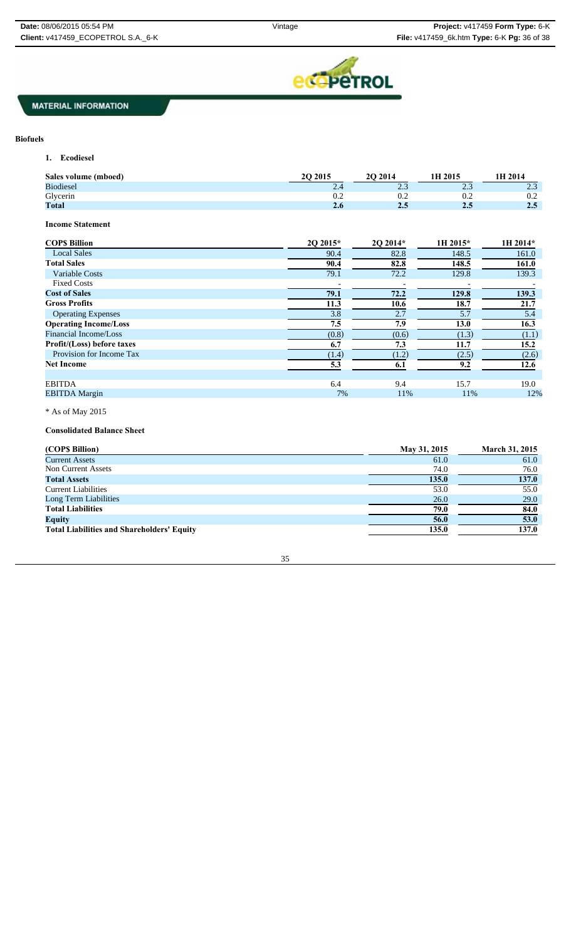

### **Biofuels**

**1. Ecodiesel**

| Sales volume (mboed) | 20 20 15 | <b>2O 2014</b>          | 1H 2015       | 1H 2014                     |
|----------------------|----------|-------------------------|---------------|-----------------------------|
| <b>Biodiesel</b>     | 2.4      | $\sim$ $\sim$<br>ل د سک | $\cap$<br>ت ک | 2 <sub>2</sub><br>لىدە سىگە |
| Glycerin             | 0.2      | 0.2                     | 0.2           | 0.2                         |
| <b>Total</b>         | 2.6      | 2.5                     | $2.5\,$       | 2.5                         |
|                      |          |                         |               |                             |

**Income Statement**

| <b>COPS Billion</b>          | 20 2015* | 2O 2014* | 1H 2015* | 1H 2014* |
|------------------------------|----------|----------|----------|----------|
| <b>Local Sales</b>           | 90.4     | 82.8     | 148.5    | 161.0    |
| <b>Total Sales</b>           | 90.4     | 82.8     | 148.5    | 161.0    |
| Variable Costs               | 79.1     | 72.2     | 129.8    | 139.3    |
| <b>Fixed Costs</b>           |          |          |          |          |
| <b>Cost of Sales</b>         | 79.1     | 72.2     | 129.8    | 139.3    |
| <b>Gross Profits</b>         | 11.3     | 10.6     | 18.7     | 21.7     |
| <b>Operating Expenses</b>    | 3.8      | 2.7      | 5.7      | 5.4      |
| <b>Operating Income/Loss</b> | 7.5      | 7.9      | 13.0     | 16.3     |
| <b>Financial Income/Loss</b> | (0.8)    | (0.6)    | (1.3)    | (1.1)    |
| Profit/(Loss) before taxes   | 6.7      | 7.3      | 11.7     | 15.2     |
| Provision for Income Tax     | (1.4)    | (1.2)    | (2.5)    | (2.6)    |
| <b>Net Income</b>            | 5.3      | 6.1      | 9.2      | 12.6     |
|                              |          |          |          |          |
| <b>EBITDA</b>                | 6.4      | 9.4      | 15.7     | 19.0     |
| <b>EBITDA</b> Margin         | 7%       | 11%      | 11%      | 12%      |

 $^{\ast}$  As of May 2015

### **Consolidated Balance Sheet**

| (COPS Billion)                                    | May 31, 2015 | <b>March 31, 2015</b> |
|---------------------------------------------------|--------------|-----------------------|
| <b>Current Assets</b>                             | 61.0         | 61.0                  |
| Non Current Assets                                | 74.0         | 76.0                  |
| <b>Total Assets</b>                               | 135.0        | 137.0                 |
| <b>Current Liabilities</b>                        | 53.0         | 55.0                  |
| Long Term Liabilities                             | 26.0         | 29.0                  |
| <b>Total Liabilities</b>                          | 79.0         | 84.0                  |
| <b>Equity</b>                                     | 56.0         | 53.0                  |
| <b>Total Liabilities and Shareholders' Equity</b> | 135.0        | 137.0                 |

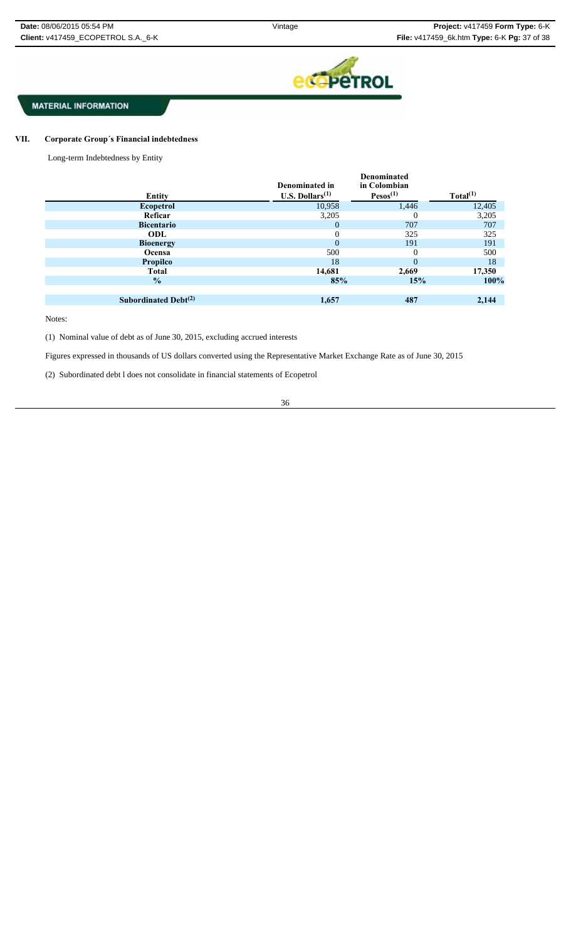

#### VII. **VII. Corporate Group´s Financial indebtedness**

Long-term Indebtedness by Entity

|                            | Denominated in     | <b>Denominated</b><br>in Colombian |                      |
|----------------------------|--------------------|------------------------------------|----------------------|
| <b>Entity</b>              | U.S. Dollars $(1)$ | Pesos <sup>(1)</sup>               | Total <sup>(1)</sup> |
| <b>Ecopetrol</b>           | 10,958             | 1,446                              | 12,405               |
| Reficar                    | 3,205              | $\Omega$                           | 3,205                |
| <b>Bicentario</b>          | 0                  | 707                                | 707                  |
| ODL                        | $\Omega$           | 325                                | 325                  |
| <b>Bioenergy</b>           | $\Omega$           | 191                                | 191                  |
| Ocensa                     | 500                | $\Omega$                           | 500                  |
| <b>Propilco</b>            | 18                 | $\Omega$                           | 18                   |
| <b>Total</b>               | 14,681             | 2,669                              | 17,350               |
| $\frac{1}{2}$              | 85%                | 15%                                | 100%                 |
|                            |                    |                                    |                      |
| Subordinated Debt $^{(2)}$ | 1,657              | 487                                | 2,144                |

Notes:

(1) Nominal value of debt as of June 30, 2015, excluding accrued interests

Figures expressed in thousands of US dollars converted using the Representative Market Exchange Rate as of June 30, 2015

(2) Subordinated debt l does not consolidate in financial statements of Ecopetrol